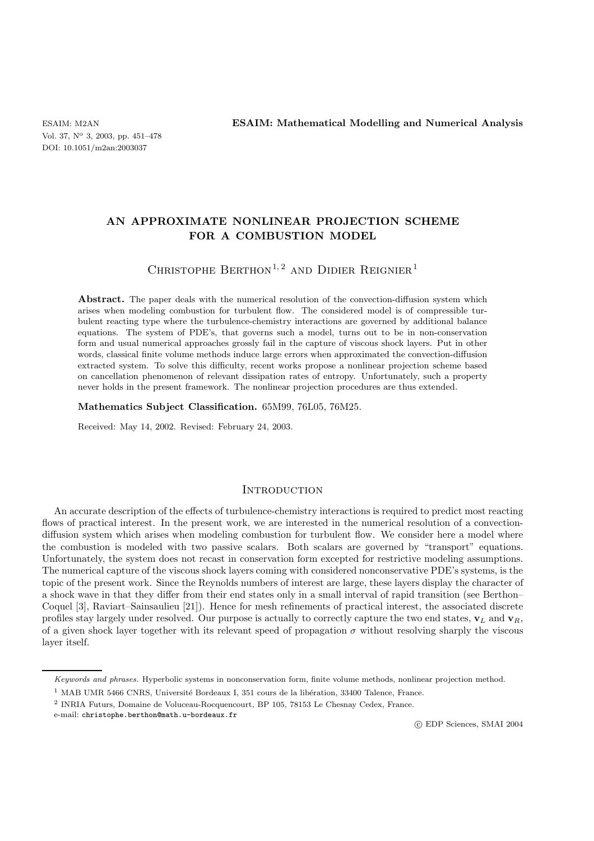Vol. 37, N<sup>o</sup> 3, 2003, pp. 451–478 DOI: 10.1051/m2an:2003037

ESAIM: M2AN **ESAIM: Mathematical Modelling and Numerical Analysis**

# **AN APPROXIMATE NONLINEAR PROJECTION SCHEME FOR A COMBUSTION MODEL**

# CHRISTOPHE BERTHON<sup>1,2</sup> AND DIDIER REIGNIER<sup>1</sup>

Abstract. The paper deals with the numerical resolution of the convection-diffusion system which arises when modeling combustion for turbulent flow. The considered model is of compressible turbulent reacting type where the turbulence-chemistry interactions are governed by additional balance equations. The system of PDE's, that governs such a model, turns out to be in non-conservation form and usual numerical approaches grossly fail in the capture of viscous shock layers. Put in other words, classical finite volume methods induce large errors when approximated the convection-diffusion extracted system. To solve this difficulty, recent works propose a nonlinear projection scheme based on cancellation phenomenon of relevant dissipation rates of entropy. Unfortunately, such a property never holds in the present framework. The nonlinear projection procedures are thus extended.

**Mathematics Subject Classification.** 65M99, 76L05, 76M25.

Received: May 14, 2002. Revised: February 24, 2003.

## **INTRODUCTION**

An accurate description of the effects of turbulence-chemistry interactions is required to predict most reacting flows of practical interest. In the present work, we are interested in the numerical resolution of a convectiondiffusion system which arises when modeling combustion for turbulent flow. We consider here a model where the combustion is modeled with two passive scalars. Both scalars are governed by "transport" equations. Unfortunately, the system does not recast in conservation form excepted for restrictive modeling assumptions. The numerical capture of the viscous shock layers coming with considered nonconservative PDE's systems, is the topic of the present work. Since the Reynolds numbers of interest are large, these layers display the character of a shock wave in that they differ from their end states only in a small interval of rapid transition (see Berthon– Coquel [3], Raviart–Sainsaulieu [21]). Hence for mesh refinements of practical interest, the associated discrete profiles stay largely under resolved. Our purpose is actually to correctly capture the two end states,  $\mathbf{v}_L$  and  $\mathbf{v}_R$ , of a given shock layer together with its relevant speed of propagation  $\sigma$  without resolving sharply the viscous layer itself.

Keywords and phrases. Hyperbolic systems in nonconservation form, finite volume methods, nonlinear projection method.

 $1$  MAB UMR 5466 CNRS, Université Bordeaux I, 351 cours de la libération, 33400 Talence, France.

<sup>2</sup> INRIA Futurs, Domaine de Voluceau-Rocquencourt, BP 105, 78153 Le Chesnay Cedex, France.

e-mail: christophe.berthon@math.u-bordeaux.fr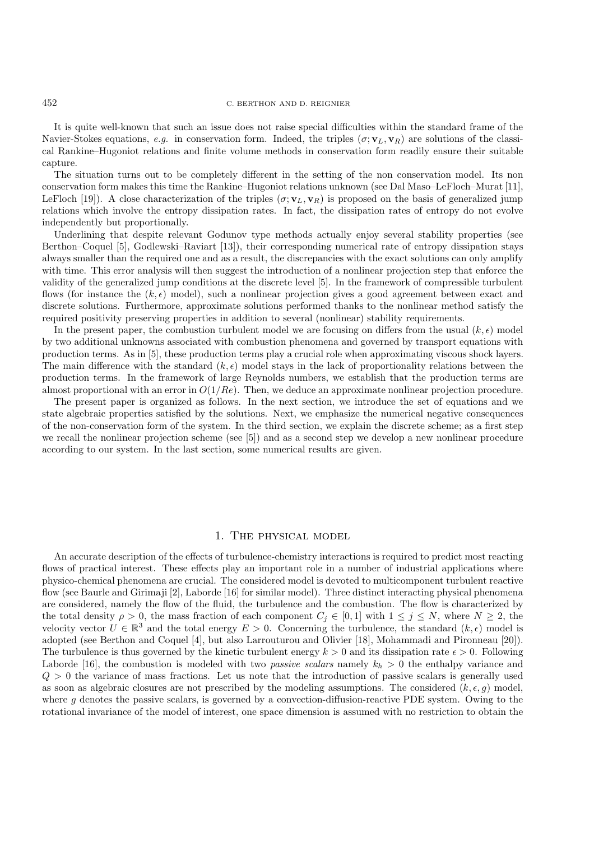### 452 C. BERTHON AND D. REIGNIER

It is quite well-known that such an issue does not raise special difficulties within the standard frame of the Navier-Stokes equations, *e.g.* in conservation form. Indeed, the triples  $(\sigma; \mathbf{v}_L, \mathbf{v}_R)$  are solutions of the classical Rankine–Hugoniot relations and finite volume methods in conservation form readily ensure their suitable capture.

The situation turns out to be completely different in the setting of the non conservation model. Its non conservation form makes this time the Rankine–Hugoniot relations unknown (see Dal Maso–LeFloch–Murat [11], LeFloch [19]). A close characterization of the triples  $(\sigma; \mathbf{v}_L, \mathbf{v}_R)$  is proposed on the basis of generalized jump relations which involve the entropy dissipation rates. In fact, the dissipation rates of entropy do not evolve independently but proportionally.

Underlining that despite relevant Godunov type methods actually enjoy several stability properties (see Berthon–Coquel [5], Godlewski–Raviart [13]), their corresponding numerical rate of entropy dissipation stays always smaller than the required one and as a result, the discrepancies with the exact solutions can only amplify with time. This error analysis will then suggest the introduction of a nonlinear projection step that enforce the validity of the generalized jump conditions at the discrete level [5]. In the framework of compressible turbulent flows (for instance the  $(k, \epsilon)$  model), such a nonlinear projection gives a good agreement between exact and discrete solutions. Furthermore, approximate solutions performed thanks to the nonlinear method satisfy the required positivity preserving properties in addition to several (nonlinear) stability requirements.

In the present paper, the combustion turbulent model we are focusing on differs from the usual  $(k, \epsilon)$  model by two additional unknowns associated with combustion phenomena and governed by transport equations with production terms. As in [5], these production terms play a crucial role when approximating viscous shock layers. The main difference with the standard  $(k, \epsilon)$  model stays in the lack of proportionality relations between the production terms. In the framework of large Reynolds numbers, we establish that the production terms are almost proportional with an error in  $O(1/Re)$ . Then, we deduce an approximate nonlinear projection procedure.

The present paper is organized as follows. In the next section, we introduce the set of equations and we state algebraic properties satisfied by the solutions. Next, we emphasize the numerical negative consequences of the non-conservation form of the system. In the third section, we explain the discrete scheme; as a first step we recall the nonlinear projection scheme (see [5]) and as a second step we develop a new nonlinear procedure according to our system. In the last section, some numerical results are given.

### 1. The physical model

An accurate description of the effects of turbulence-chemistry interactions is required to predict most reacting flows of practical interest. These effects play an important role in a number of industrial applications where physico-chemical phenomena are crucial. The considered model is devoted to multicomponent turbulent reactive flow (see Baurle and Girimaji [2], Laborde [16] for similar model). Three distinct interacting physical phenomena are considered, namely the flow of the fluid, the turbulence and the combustion. The flow is characterized by the total density  $\rho > 0$ , the mass fraction of each component  $C_j \in [0,1]$  with  $1 \le j \le N$ , where  $N \ge 2$ , the velocity vector  $U \in \mathbb{R}^3$  and the total energy  $E > 0$ . Concerning the turbulence, the standard  $(k, \epsilon)$  model is adopted (see Berthon and Coquel [4], but also Larrouturou and Olivier [18], Mohammadi and Pironneau [20]). The turbulence is thus governed by the kinetic turbulent energy  $k > 0$  and its dissipation rate  $\epsilon > 0$ . Following Laborde [16], the combustion is modeled with two *passive scalars* namely  $k_h > 0$  the enthalpy variance and  $Q > 0$  the variance of mass fractions. Let us note that the introduction of passive scalars is generally used as soon as algebraic closures are not prescribed by the modeling assumptions. The considered  $(k, \epsilon, g)$  model, where g denotes the passive scalars, is governed by a convection-diffusion-reactive PDE system. Owing to the rotational invariance of the model of interest, one space dimension is assumed with no restriction to obtain the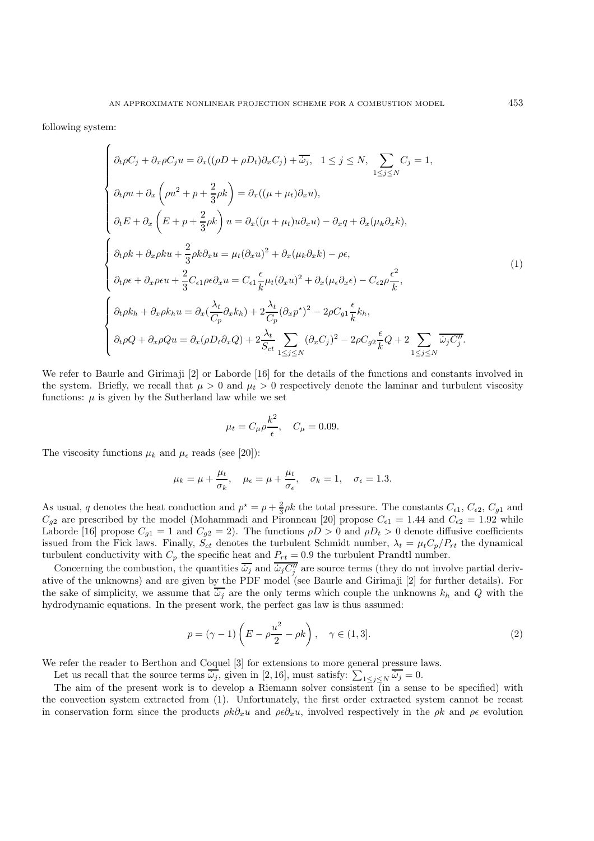following system:

$$
\begin{cases}\n\partial_t \rho C_j + \partial_x \rho C_j u = \partial_x ((\rho D + \rho D_t) \partial_x C_j) + \overline{\omega}_j, \quad 1 \leq j \leq N, \quad \sum_{1 \leq j \leq N} C_j = 1, \\
\partial_t \rho u + \partial_x \left( \rho u^2 + p + \frac{2}{3} \rho k \right) = \partial_x ((\mu + \mu_t) \partial_x u), \\
\partial_t E + \partial_x \left( E + p + \frac{2}{3} \rho k \right) u = \partial_x ((\mu + \mu_t) u \partial_x u) - \partial_x q + \partial_x (\mu_k \partial_x k), \\
\partial_t \rho k + \partial_x \rho k u + \frac{2}{3} \rho k \partial_x u = \mu_t (\partial_x u)^2 + \partial_x (\mu_k \partial_x k) - \rho \epsilon, \\
\partial_t \rho \epsilon + \partial_x \rho \epsilon u + \frac{2}{3} C_{\epsilon 1} \rho \epsilon \partial_x u = C_{\epsilon 1} \frac{\epsilon}{k} \mu_t (\partial_x u)^2 + \partial_x (\mu_{\epsilon} \partial_x \epsilon) - C_{\epsilon 2} \rho \frac{\epsilon^2}{k}, \\
\partial_t \rho k_h + \partial_x \rho k_h u = \partial_x (\frac{\lambda_t}{C_p} \partial_x k_h) + 2 \frac{\lambda_t}{C_p} (\partial_x p^*)^2 - 2 \rho C_{g1} \frac{\epsilon}{k} k_h, \\
\partial_t \rho Q + \partial_x \rho Q u = \partial_x (\rho D_t \partial_x Q) + 2 \frac{\lambda_t}{S_{ct}} \sum_{1 \leq j \leq N} (\partial_x C_j)^2 - 2 \rho C_{g2} \frac{\epsilon}{k} Q + 2 \sum_{1 \leq j \leq N} \frac{\overline{\omega}_j C_j^T}{\overline{\omega}_j C_j^T}.\n\end{cases}
$$
\n(1)

We refer to Baurle and Girimaji [2] or Laborde [16] for the details of the functions and constants involved in the system. Briefly, we recall that  $\mu > 0$  and  $\mu_t > 0$  respectively denote the laminar and turbulent viscosity functions:  $\mu$  is given by the Sutherland law while we set

$$
\mu_t = C_\mu \rho \frac{k^2}{\epsilon}, \quad C_\mu = 0.09.
$$

The viscosity functions  $\mu_k$  and  $\mu_{\epsilon}$  reads (see [20]):

$$
\mu_k = \mu + \frac{\mu_t}{\sigma_k}, \quad \mu_{\epsilon} = \mu + \frac{\mu_t}{\sigma_{\epsilon}}, \quad \sigma_k = 1, \quad \sigma_{\epsilon} = 1.3.
$$

As usual, q denotes the heat conduction and  $p^* = p + \frac{2}{3}\rho k$  the total pressure. The constants  $C_{\epsilon 1}$ ,  $C_{\epsilon 2}$ ,  $C_{g1}$  and  $C_{g2}$  are prescribed by the model (Mohammadi and Pironneau [20] propose  $C_{\epsilon 1} = 1.44$  and  $C_{\epsilon 2} = 1.92$  while Laborde [16] propose  $C_{g1} = 1$  and  $C_{g2} = 2$ ). The functions  $\rho D > 0$  and  $\rho D_t > 0$  denote diffusive coefficients issued from the Fick laws. Finally,  $S_{ct}$  denotes the turbulent Schmidt number,  $\lambda_t = \mu_t C_p/P_{rt}$  the dynamical turbulent conductivity with  $C_p$  the specific heat and  $P_{rt} = 0.9$  the turbulent Prandtl number.

Concerning the combustion, the quantities  $\overline{\omega_j}$  and  $\overline{\omega_j C''_j}$  are source terms (they do not involve partial derivative of the unknowns) and are given by the PDF model (see Baurle and Girimaji [2] for further details). For the sake of simplicity, we assume that  $\overline{\omega_i}$  are the only terms which couple the unknowns  $k_h$  and Q with the hydrodynamic equations. In the present work, the perfect gas law is thus assumed:

$$
p = (\gamma - 1) \left( E - \rho \frac{u^2}{2} - \rho k \right), \quad \gamma \in (1, 3]. \tag{2}
$$

We refer the reader to Berthon and Coquel [3] for extensions to more general pressure laws.

Let us recall that the source terms  $\overline{\omega_j}$ , given in [2,16], must satisfy:  $\sum_{1 \le j \le N} \overline{\omega_j} = 0$ .

The aim of the present work is to develop a Riemann solver consistent (in a sense to be specified) with the convection system extracted from (1). Unfortunately, the first order extracted system cannot be recast in conservation form since the products  $\rho k \partial_x u$  and  $\rho \epsilon \partial_x u$ , involved respectively in the  $\rho k$  and  $\rho \epsilon$  evolution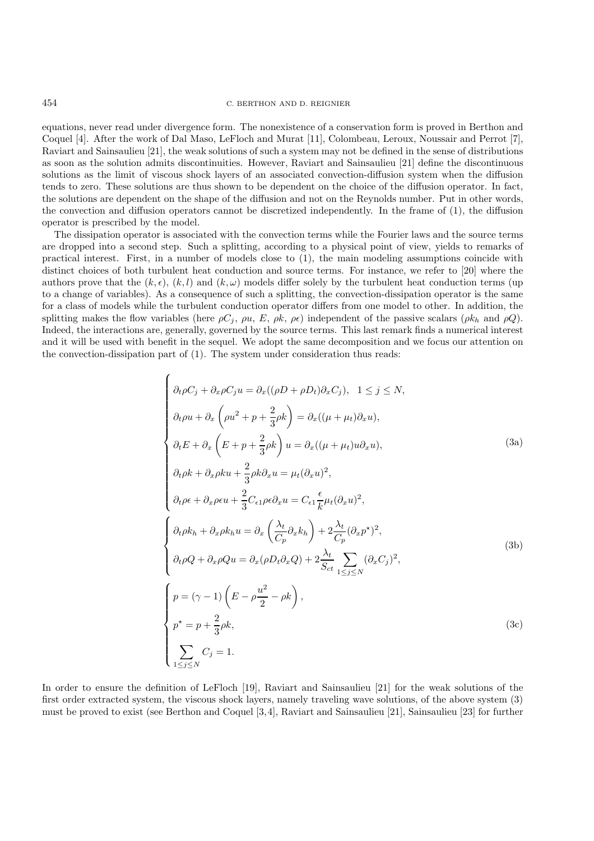### 454 C. BERTHON AND D. REIGNIER

equations, never read under divergence form. The nonexistence of a conservation form is proved in Berthon and Coquel [4]. After the work of Dal Maso, LeFloch and Murat [11], Colombeau, Leroux, Noussair and Perrot [7], Raviart and Sainsaulieu [21], the weak solutions of such a system may not be defined in the sense of distributions as soon as the solution admits discontinuities. However, Raviart and Sainsaulieu [21] define the discontinuous solutions as the limit of viscous shock layers of an associated convection-diffusion system when the diffusion tends to zero. These solutions are thus shown to be dependent on the choice of the diffusion operator. In fact, the solutions are dependent on the shape of the diffusion and not on the Reynolds number. Put in other words, the convection and diffusion operators cannot be discretized independently. In the frame of (1), the diffusion operator is prescribed by the model.

The dissipation operator is associated with the convection terms while the Fourier laws and the source terms are dropped into a second step. Such a splitting, according to a physical point of view, yields to remarks of practical interest. First, in a number of models close to (1), the main modeling assumptions coincide with distinct choices of both turbulent heat conduction and source terms. For instance, we refer to [20] where the authors prove that the  $(k, \epsilon)$ ,  $(k, l)$  and  $(k, \omega)$  models differ solely by the turbulent heat conduction terms (up to a change of variables). As a consequence of such a splitting, the convection-dissipation operator is the same for a class of models while the turbulent conduction operator differs from one model to other. In addition, the splitting makes the flow variables (here  $\rho C_j$ ,  $\rho u$ , E,  $\rho k$ ,  $\rho \epsilon$ ) independent of the passive scalars ( $\rho k_h$  and  $\rho Q$ ). Indeed, the interactions are, generally, governed by the source terms. This last remark finds a numerical interest and it will be used with benefit in the sequel. We adopt the same decomposition and we focus our attention on the convection-dissipation part of (1). The system under consideration thus reads:

$$
\begin{cases}\n\partial_t \rho C_j + \partial_x \rho C_j u = \partial_x ((\rho D + \rho D_t) \partial_x C_j), \quad 1 \leq j \leq N, \\
\partial_t \rho u + \partial_x \left( \rho u^2 + p + \frac{2}{3} \rho k \right) = \partial_x ((\mu + \mu_t) \partial_x u), \\
\partial_t E + \partial_x \left( E + p + \frac{2}{3} \rho k \right) u = \partial_x ((\mu + \mu_t) u \partial_x u), \\
\partial_t \rho k + \partial_x \rho k u + \frac{2}{3} \rho k \partial_x u = \mu_t (\partial_x u)^2, \\
\partial_t \rho \epsilon + \partial_x \rho \epsilon u + \frac{2}{3} C_{\epsilon 1} \rho \epsilon \partial_x u = C_{\epsilon 1} \frac{\epsilon}{k} \mu_t (\partial_x u)^2, \\
\partial_t \rho k_h + \partial_x \rho k_h u = \partial_x \left( \frac{\lambda_t}{C_p} \partial_x k_h \right) + 2 \frac{\lambda_t}{C_p} (\partial_x p^*)^2, \\
\partial_t \rho Q + \partial_x \rho Q u = \partial_x (\rho D_t \partial_x Q) + 2 \frac{\lambda_t}{S_{ct}} \sum_{1 \leq j \leq N} (\partial_x C_j)^2, \\
p = (\gamma - 1) \left( E - \rho \frac{u^2}{2} - \rho k \right), \\
p^* = p + \frac{2}{3} \rho k, \\
\sum_{1 \leq j \leq N} C_j = 1.\n\end{cases} (3c)
$$

In order to ensure the definition of LeFloch [19], Raviart and Sainsaulieu [21] for the weak solutions of the first order extracted system, the viscous shock layers, namely traveling wave solutions, of the above system (3) must be proved to exist (see Berthon and Coquel [3,4], Raviart and Sainsaulieu [21], Sainsaulieu [23] for further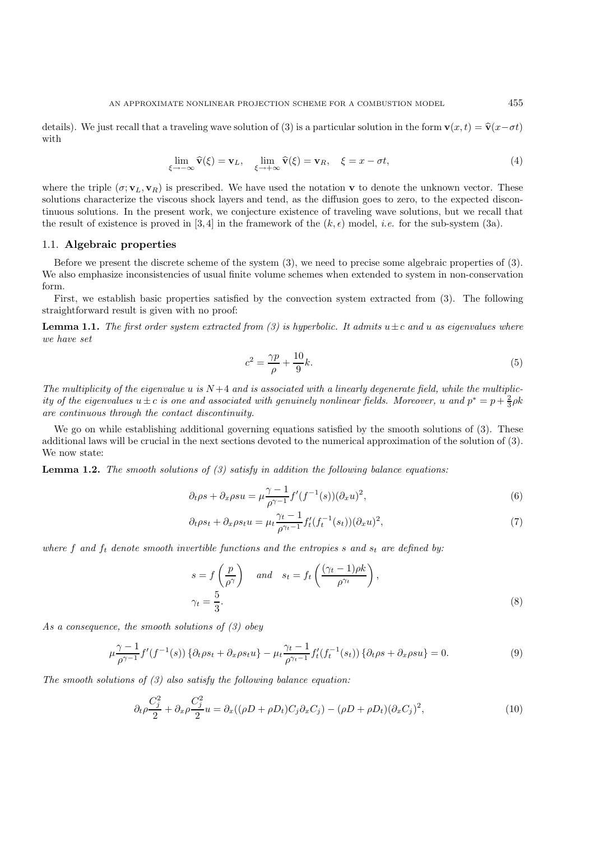details). We just recall that a traveling wave solution of (3) is a particular solution in the form **v**(x, t) =  $\hat{\mathbf{v}}(x-\sigma t)$ with

$$
\lim_{\xi \to -\infty} \widehat{\mathbf{v}}(\xi) = \mathbf{v}_L, \quad \lim_{\xi \to +\infty} \widehat{\mathbf{v}}(\xi) = \mathbf{v}_R, \quad \xi = x - \sigma t,
$$
\n(4)

where the triple  $(\sigma; \mathbf{v}_L, \mathbf{v}_R)$  is prescribed. We have used the notation **v** to denote the unknown vector. These solutions characterize the viscous shock layers and tend, as the diffusion goes to zero, to the expected discontinuous solutions. In the present work, we conjecture existence of traveling wave solutions, but we recall that the result of existence is proved in [3, 4] in the framework of the  $(k, \epsilon)$  model, *i.e.* for the sub-system (3a).

## 1.1. **Algebraic properties**

Before we present the discrete scheme of the system (3), we need to precise some algebraic properties of (3). We also emphasize inconsistencies of usual finite volume schemes when extended to system in non-conservation form.

First, we establish basic properties satisfied by the convection system extracted from (3). The following straightforward result is given with no proof:

**Lemma 1.1.** *The first order system extracted from (3) is hyperbolic. It admits*  $u \pm c$  *and* u *as eigenvalues where we have set*

$$
c^2 = \frac{\gamma p}{\rho} + \frac{10}{9}k.\tag{5}
$$

The multiplicity of the eigenvalue  $u$  is  $N+4$  and is associated with a linearly degenerate field, while the multiplic*ity of the eigenvalues*  $u \pm c$  *is one and associated with genuinely nonlinear fields. Moreover,*  $u$  *and*  $p^* = p + \frac{2}{3} \rho k$ *are continuous through the contact discontinuity.*

We go on while establishing additional governing equations satisfied by the smooth solutions of  $(3)$ . These additional laws will be crucial in the next sections devoted to the numerical approximation of the solution of (3). We now state:

**Lemma 1.2.** *The smooth solutions of (3) satisfy in addition the following balance equations:*

$$
\partial_t \rho s + \partial_x \rho s u = \mu \frac{\gamma - 1}{\rho^{\gamma - 1}} f'(f^{-1}(s)) (\partial_x u)^2,
$$
\n
$$
(6)
$$

$$
\partial_t \rho s_t + \partial_x \rho s_t u = \mu_t \frac{\gamma_t - 1}{\rho^{\gamma_t - 1}} f'_t(f_t^{-1}(s_t)) (\partial_x u)^2,
$$
\n<sup>(7)</sup>

where f and  $f_t$  denote smooth invertible functions and the entropies s and  $s_t$  are defined by:

$$
s = f\left(\frac{p}{\rho^{\gamma}}\right) \quad and \quad s_t = f_t\left(\frac{(\gamma_t - 1)\rho k}{\rho^{\gamma_t}}\right),
$$
  

$$
\gamma_t = \frac{5}{3}.
$$
 (8)

*As a consequence, the smooth solutions of (3) obey*

$$
\mu \frac{\gamma - 1}{\rho^{\gamma - 1}} f'(f^{-1}(s)) \left\{ \partial_t \rho s_t + \partial_x \rho s_t u \right\} - \mu_t \frac{\gamma_t - 1}{\rho^{\gamma_t - 1}} f'_t(f_t^{-1}(s_t)) \left\{ \partial_t \rho s + \partial_x \rho s u \right\} = 0. \tag{9}
$$

*The smooth solutions of (3) also satisfy the following balance equation:*

$$
\partial_t \rho \frac{C_j^2}{2} + \partial_x \rho \frac{C_j^2}{2} u = \partial_x ((\rho D + \rho D_t) C_j \partial_x C_j) - (\rho D + \rho D_t) (\partial_x C_j)^2, \tag{10}
$$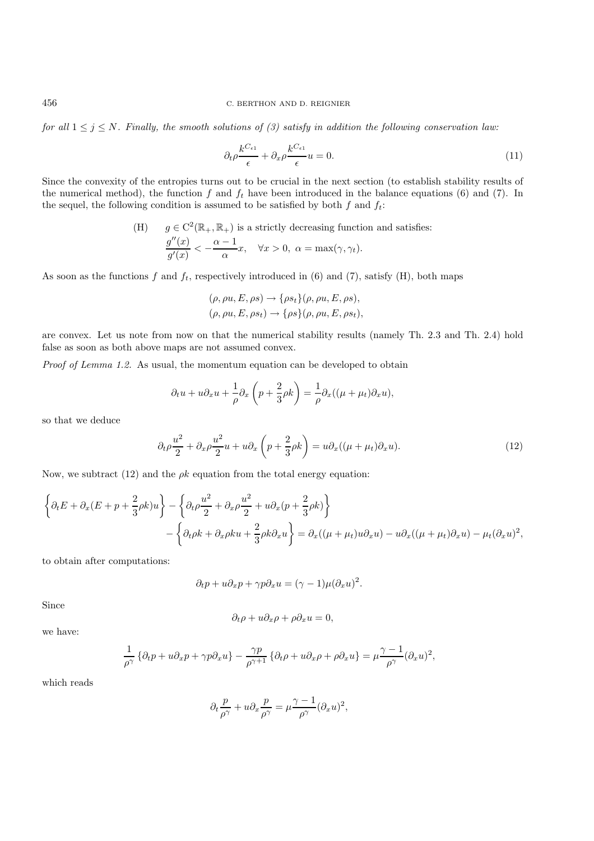*for all*  $1 \leq j \leq N$ . Finally, the smooth solutions of (3) satisfy in addition the following conservation law:

$$
\partial_t \rho \frac{k^{C_{\epsilon 1}}}{\epsilon} + \partial_x \rho \frac{k^{C_{\epsilon 1}}}{\epsilon} u = 0. \tag{11}
$$

Since the convexity of the entropies turns out to be crucial in the next section (to establish stability results of the numerical method), the function f and  $f_t$  have been introduced in the balance equations (6) and (7). In the sequel, the following condition is assumed to be satisfied by both f and  $f_t$ :

(H) 
$$
g \in C^2(\mathbb{R}_+, \mathbb{R}_+)
$$
 is a strictly decreasing function and satisfies:  

$$
\frac{g''(x)}{g'(x)} < -\frac{\alpha - 1}{\alpha}x, \quad \forall x > 0, \ \alpha = \max(\gamma, \gamma_t).
$$

As soon as the functions f and  $f_t$ , respectively introduced in (6) and (7), satisfy (H), both maps

$$
(\rho, \rho u, E, \rho s) \rightarrow {\rho s_t} (\rho, \rho u, E, \rho s),
$$
  

$$
(\rho, \rho u, E, \rho s_t) \rightarrow {\rho s} (\rho, \rho u, E, \rho s_t),
$$

are convex. Let us note from now on that the numerical stability results (namely Th. 2.3 and Th. 2.4) hold false as soon as both above maps are not assumed convex.

*Proof of Lemma 1.2.* As usual, the momentum equation can be developed to obtain

$$
\partial_t u + u \partial_x u + \frac{1}{\rho} \partial_x \left( p + \frac{2}{3} \rho k \right) = \frac{1}{\rho} \partial_x ((\mu + \mu_t) \partial_x u),
$$

so that we deduce

$$
\partial_t \rho \frac{u^2}{2} + \partial_x \rho \frac{u^2}{2} u + u \partial_x \left( p + \frac{2}{3} \rho k \right) = u \partial_x ((\mu + \mu_t) \partial_x u). \tag{12}
$$

Now, we subtract (12) and the  $\rho k$  equation from the total energy equation:

$$
\left\{\partial_t E + \partial_x (E + p + \frac{2}{3}\rho k)u\right\} - \left\{\partial_t \rho \frac{u^2}{2} + \partial_x \rho \frac{u^2}{2} + u\partial_x (p + \frac{2}{3}\rho k)\right\}
$$

$$
-\left\{\partial_t \rho k + \partial_x \rho k u + \frac{2}{3}\rho k \partial_x u\right\} = \partial_x ((\mu + \mu_t)u\partial_x u) - u\partial_x ((\mu + \mu_t)\partial_x u) - \mu_t (\partial_x u)^2,
$$

to obtain after computations:

$$
\partial_t p + u \partial_x p + \gamma p \partial_x u = (\gamma - 1) \mu (\partial_x u)^2.
$$

Since

$$
\partial_t \rho + u \partial_x \rho + \rho \partial_x u = 0,
$$

we have:

$$
\frac{1}{\rho^{\gamma}}\left\{\partial_{t}p+u\partial_{x}p+\gamma p\partial_{x}u\right\}-\frac{\gamma p}{\rho^{\gamma+1}}\left\{\partial_{t}\rho+u\partial_{x}\rho+\rho\partial_{x}u\right\}=\mu\frac{\gamma-1}{\rho^{\gamma}}(\partial_{x}u)^{2},
$$

which reads

$$
\partial_t \frac{p}{\rho^{\gamma}} + u \partial_x \frac{p}{\rho^{\gamma}} = \mu \frac{\gamma - 1}{\rho^{\gamma}} (\partial_x u)^2,
$$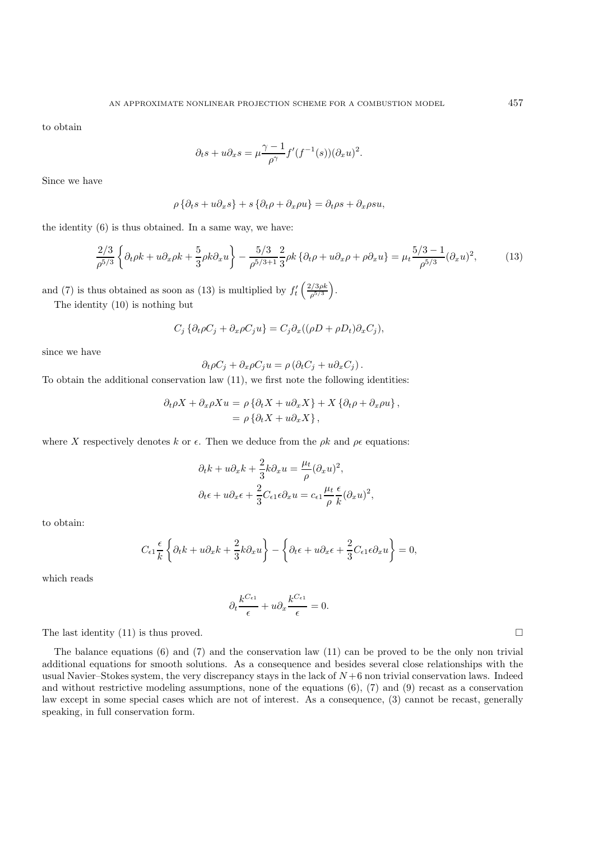to obtain

$$
\partial_t s + u \partial_x s = \mu \frac{\gamma - 1}{\rho^{\gamma}} f'(f^{-1}(s)) (\partial_x u)^2.
$$

Since we have

$$
\rho \left\{ \partial_t s + u \partial_x s \right\} + s \left\{ \partial_t \rho + \partial_x \rho u \right\} = \partial_t \rho s + \partial_x \rho s u,
$$

the identity (6) is thus obtained. In a same way, we have:

$$
\frac{2/3}{\rho^{5/3}} \left\{ \partial_t \rho k + u \partial_x \rho k + \frac{5}{3} \rho k \partial_x u \right\} - \frac{5/3}{\rho^{5/3+1}} \frac{2}{3} \rho k \left\{ \partial_t \rho + u \partial_x \rho + \rho \partial_x u \right\} = \mu_t \frac{5/3 - 1}{\rho^{5/3}} (\partial_x u)^2, \tag{13}
$$

and (7) is thus obtained as soon as (13) is multiplied by  $f'_{t}\left(\frac{2/3\rho k}{\rho^{5/3}}\right)$  $\rho^{5/3}$ .

The identity (10) is nothing but

$$
C_j \left\{\partial_t \rho C_j + \partial_x \rho C_j u\right\} = C_j \partial_x ((\rho D + \rho D_t) \partial_x C_j),
$$

since we have

$$
\partial_t \rho C_j + \partial_x \rho C_j u = \rho \left( \partial_t C_j + u \partial_x C_j \right).
$$

To obtain the additional conservation law (11), we first note the following identities:

$$
\partial_t \rho X + \partial_x \rho X u = \rho \left\{ \partial_t X + u \partial_x X \right\} + X \left\{ \partial_t \rho + \partial_x \rho u \right\},
$$
  
=  $\rho \left\{ \partial_t X + u \partial_x X \right\},$ 

where X respectively denotes k or  $\epsilon$ . Then we deduce from the  $\rho k$  and  $\rho \epsilon$  equations:

$$
\partial_t k + u \partial_x k + \frac{2}{3} k \partial_x u = \frac{\mu_t}{\rho} (\partial_x u)^2,
$$
  

$$
\partial_t \epsilon + u \partial_x \epsilon + \frac{2}{3} C_{\epsilon 1} \epsilon \partial_x u = c_{\epsilon 1} \frac{\mu_t}{\rho} \frac{\epsilon}{k} (\partial_x u)^2,
$$

to obtain:

$$
C_{\epsilon 1} \frac{\epsilon}{k} \left\{ \partial_t k + u \partial_x k + \frac{2}{3} k \partial_x u \right\} - \left\{ \partial_t \epsilon + u \partial_x \epsilon + \frac{2}{3} C_{\epsilon 1} \epsilon \partial_x u \right\} = 0,
$$

which reads

$$
\partial_t \frac{k^{C_{\epsilon 1}}}{\epsilon} + u \partial_x \frac{k^{C_{\epsilon 1}}}{\epsilon} = 0.
$$

The last identity (11) is thus proved.  $\square$ 

The balance equations (6) and (7) and the conservation law (11) can be proved to be the only non trivial additional equations for smooth solutions. As a consequence and besides several close relationships with the usual Navier–Stokes system, the very discrepancy stays in the lack of  $N+6$  non trivial conservation laws. Indeed and without restrictive modeling assumptions, none of the equations (6), (7) and (9) recast as a conservation law except in some special cases which are not of interest. As a consequence, (3) cannot be recast, generally speaking, in full conservation form.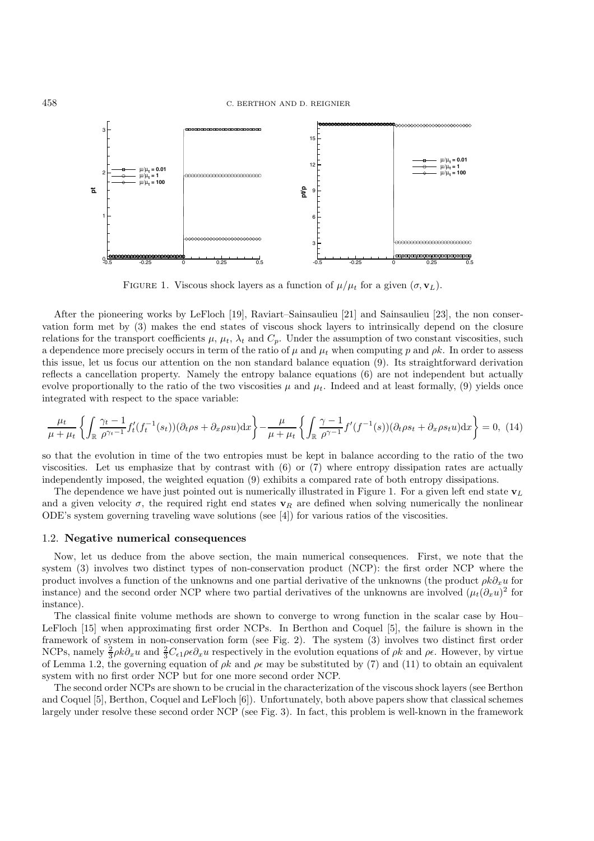

FIGURE 1. Viscous shock layers as a function of  $\mu/\mu_t$  for a given  $(\sigma, \mathbf{v}_L)$ .

After the pioneering works by LeFloch [19], Raviart–Sainsaulieu [21] and Sainsaulieu [23], the non conservation form met by (3) makes the end states of viscous shock layers to intrinsically depend on the closure relations for the transport coefficients  $\mu$ ,  $\mu_t$ ,  $\lambda_t$  and  $C_p$ . Under the assumption of two constant viscosities, such a dependence more precisely occurs in term of the ratio of  $\mu$  and  $\mu_t$  when computing p and  $\rho k$ . In order to assess this issue, let us focus our attention on the non standard balance equation (9). Its straightforward derivation reflects a cancellation property. Namely the entropy balance equations (6) are not independent but actually evolve proportionally to the ratio of the two viscosities  $\mu$  and  $\mu_t$ . Indeed and at least formally, (9) yields once integrated with respect to the space variable:

$$
\frac{\mu_t}{\mu + \mu_t} \left\{ \int_{\mathbb{R}} \frac{\gamma_t - 1}{\rho^{\gamma_t - 1}} f'_t(f_t^{-1}(s_t)) (\partial_t \rho s + \partial_x \rho s u) dx \right\} - \frac{\mu}{\mu + \mu_t} \left\{ \int_{\mathbb{R}} \frac{\gamma - 1}{\rho^{\gamma - 1}} f'(f^{-1}(s)) (\partial_t \rho s_t + \partial_x \rho s_t u) dx \right\} = 0, (14)
$$

so that the evolution in time of the two entropies must be kept in balance according to the ratio of the two viscosities. Let us emphasize that by contrast with (6) or (7) where entropy dissipation rates are actually independently imposed, the weighted equation (9) exhibits a compared rate of both entropy dissipations.

The dependence we have just pointed out is numerically illustrated in Figure 1. For a given left end state  $\mathbf{v}_L$ and a given velocity  $\sigma$ , the required right end states  $\mathbf{v}_R$  are defined when solving numerically the nonlinear ODE's system governing traveling wave solutions (see [4]) for various ratios of the viscosities.

#### 1.2. **Negative numerical consequences**

Now, let us deduce from the above section, the main numerical consequences. First, we note that the system (3) involves two distinct types of non-conservation product (NCP): the first order NCP where the product involves a function of the unknowns and one partial derivative of the unknowns (the product  $\rho k\partial_x u$  for instance) and the second order NCP where two partial derivatives of the unknowns are involved  $(\mu_t(\partial_x u)^2$  for instance).

The classical finite volume methods are shown to converge to wrong function in the scalar case by Hou– LeFloch [15] when approximating first order NCPs. In Berthon and Coquel [5], the failure is shown in the framework of system in non-conservation form (see Fig. 2). The system (3) involves two distinct first order NCPs, namely  $\frac{2}{3}\rho k \partial_x u$  and  $\frac{2}{3}C_{\epsilon 1}\rho \epsilon \partial_x u$  respectively in the evolution equations of  $\rho k$  and  $\rho \epsilon$ . However, by virtue of Lemma 1.2, the governing equation of  $\beta k$  and  $\beta \epsilon$  may be substituted by (7) and (11) to obtain an equivalent system with no first order NCP but for one more second order NCP.

The second order NCPs are shown to be crucial in the characterization of the viscous shock layers (see Berthon and Coquel [5], Berthon, Coquel and LeFloch [6]). Unfortunately, both above papers show that classical schemes largely under resolve these second order NCP (see Fig. 3). In fact, this problem is well-known in the framework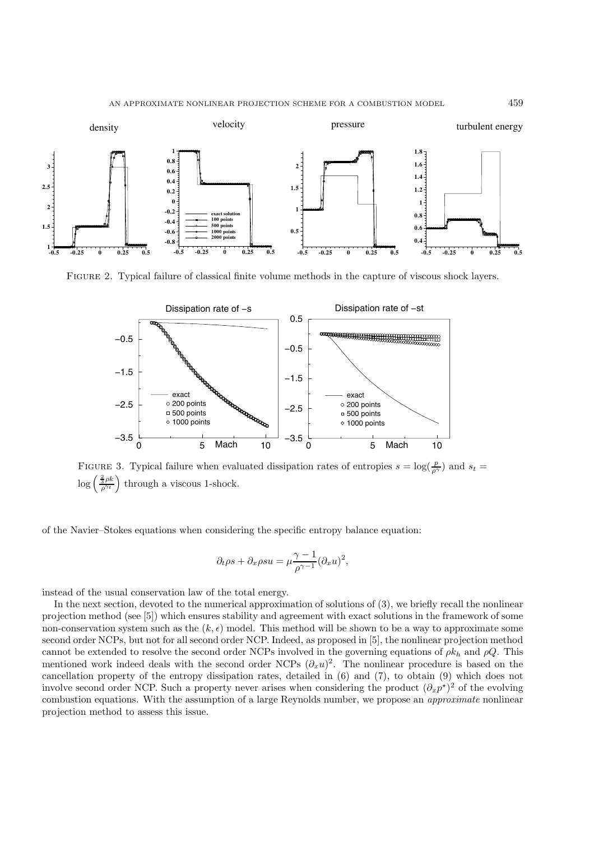

Figure 2. Typical failure of classical finite volume methods in the capture of viscous shock layers.



FIGURE 3. Typical failure when evaluated dissipation rates of entropies  $s = \log(\frac{p}{\rho^{\gamma}})$  and  $s_t =$  $\log\left(\frac{\frac{2}{3}\rho k}{\rho^{\gamma_t}}\right)$ through a viscous 1-shock.

of the Navier–Stokes equations when considering the specific entropy balance equation:

$$
\partial_t \rho s + \partial_x \rho s u = \mu \frac{\gamma - 1}{\rho^{\gamma - 1}} (\partial_x u)^2,
$$

instead of the usual conservation law of the total energy.

In the next section, devoted to the numerical approximation of solutions of (3), we briefly recall the nonlinear projection method (see [5]) which ensures stability and agreement with exact solutions in the framework of some non-conservation system such as the  $(k, \epsilon)$  model. This method will be shown to be a way to approximate some second order NCPs, but not for all second order NCP. Indeed, as proposed in [5], the nonlinear projection method cannot be extended to resolve the second order NCPs involved in the governing equations of  $\rho k_h$  and  $\rho Q$ . This mentioned work indeed deals with the second order NCPs  $(\partial_x u)^2$ . The nonlinear procedure is based on the cancellation property of the entropy dissipation rates, detailed in (6) and (7), to obtain (9) which does not involve second order NCP. Such a property never arises when considering the product  $(\partial_x p^*)^2$  of the evolving combustion equations. With the assumption of a large Reynolds number, we propose an *approximate* nonlinear projection method to assess this issue.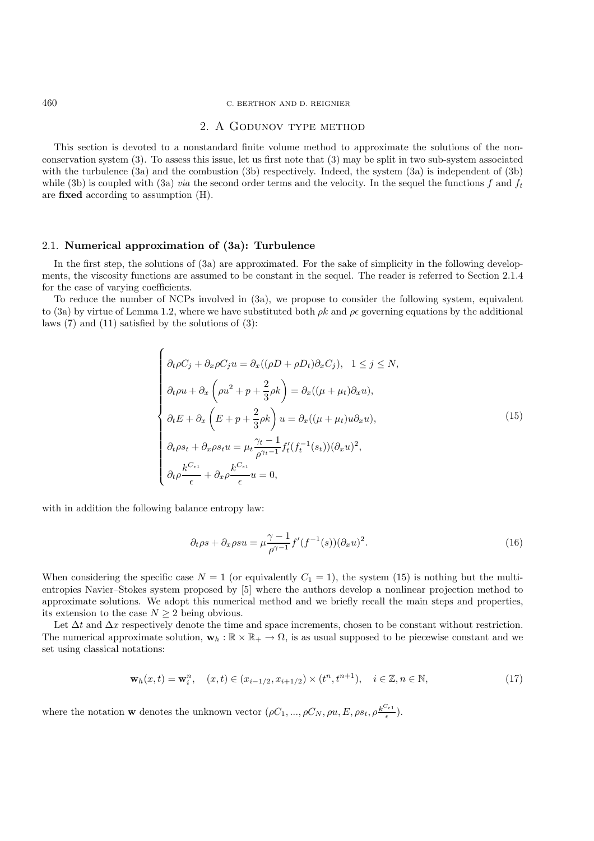### 460 C. BERTHON AND D. REIGNIER

## 2. A Godunov type method

This section is devoted to a nonstandard finite volume method to approximate the solutions of the nonconservation system (3). To assess this issue, let us first note that (3) may be split in two sub-system associated with the turbulence (3a) and the combustion (3b) respectively. Indeed, the system (3a) is independent of (3b) while (3b) is coupled with (3a) *via* the second order terms and the velocity. In the sequel the functions f and  $f_t$ are **fixed** according to assumption (H).

## 2.1. **Numerical approximation of (3a): Turbulence**

 $\overline{ }$ 

In the first step, the solutions of (3a) are approximated. For the sake of simplicity in the following developments, the viscosity functions are assumed to be constant in the sequel. The reader is referred to Section 2.1.4 for the case of varying coefficients.

To reduce the number of NCPs involved in (3a), we propose to consider the following system, equivalent to (3a) by virtue of Lemma 1.2, where we have substituted both  $\rho k$  and  $\rho \epsilon$  governing equations by the additional laws (7) and (11) satisfied by the solutions of (3):

$$
\begin{cases}\n\partial_t \rho C_j + \partial_x \rho C_j u = \partial_x ((\rho D + \rho D_t) \partial_x C_j), \quad 1 \le j \le N, \\
\partial_t \rho u + \partial_x \left( \rho u^2 + p + \frac{2}{3} \rho k \right) = \partial_x ((\mu + \mu_t) \partial_x u), \\
\partial_t E + \partial_x \left( E + p + \frac{2}{3} \rho k \right) u = \partial_x ((\mu + \mu_t) u \partial_x u), \\
\partial_t \rho s_t + \partial_x \rho s_t u = \mu_t \frac{\gamma_t - 1}{\rho^{\gamma_t - 1}} f'_t (f_t^{-1}(s_t)) (\partial_x u)^2, \\
\partial_t \rho \frac{k^{C_{\epsilon 1}}}{\epsilon} + \partial_x \rho \frac{k^{C_{\epsilon 1}}}{\epsilon} u = 0,\n\end{cases} \tag{15}
$$

with in addition the following balance entropy law:

$$
\partial_t \rho s + \partial_x \rho s u = \mu \frac{\gamma - 1}{\rho^{\gamma - 1}} f'(f^{-1}(s)) (\partial_x u)^2.
$$
\n(16)

When considering the specific case  $N = 1$  (or equivalently  $C_1 = 1$ ), the system (15) is nothing but the multientropies Navier–Stokes system proposed by [5] where the authors develop a nonlinear projection method to approximate solutions. We adopt this numerical method and we briefly recall the main steps and properties, its extension to the case  $N \geq 2$  being obvious.

Let  $\Delta t$  and  $\Delta x$  respectively denote the time and space increments, chosen to be constant without restriction. The numerical approximate solution,  $\mathbf{w}_h : \mathbb{R} \times \mathbb{R}_+ \to \Omega$ , is as usual supposed to be piecewise constant and we set using classical notations:

$$
\mathbf{w}_h(x,t) = \mathbf{w}_i^n, \quad (x,t) \in (x_{i-1/2}, x_{i+1/2}) \times (t^n, t^{n+1}), \quad i \in \mathbb{Z}, n \in \mathbb{N},
$$
\n(17)

where the notation **w** denotes the unknown vector  $(\rho C_1, ..., \rho C_N, \rho u, E, \rho s_t, \rho \frac{k^{C_{\epsilon_1}}}{\epsilon}).$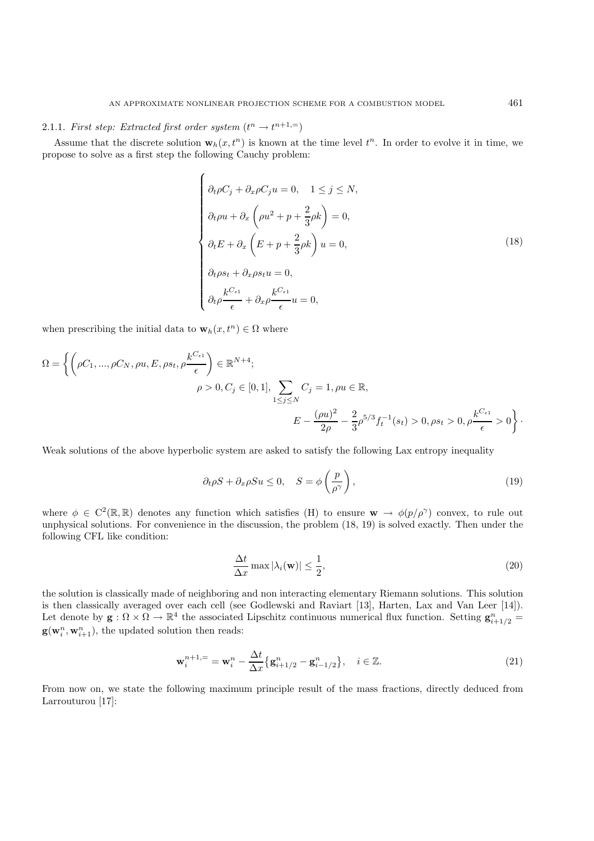# 2.1.1. *First step: Extracted first order system*  $(t^n \rightarrow t^{n+1,-})$

Assume that the discrete solution  $\mathbf{w}_h(x, t^n)$  is known at the time level  $t^n$ . In order to evolve it in time, we propose to solve as a first step the following Cauchy problem:

$$
\begin{cases}\n\partial_t \rho C_j + \partial_x \rho C_j u = 0, & 1 \le j \le N, \\
\partial_t \rho u + \partial_x \left(\rho u^2 + p + \frac{2}{3} \rho k\right) = 0, \\
\partial_t E + \partial_x \left(E + p + \frac{2}{3} \rho k\right) u = 0, \\
\partial_t \rho s_t + \partial_x \rho s_t u = 0, \\
\partial_t \rho \frac{k^{C_{\epsilon_1}}}{\epsilon} + \partial_x \rho \frac{k^{C_{\epsilon_1}}}{\epsilon} u = 0,\n\end{cases}
$$
\n(18)

when prescribing the initial data to  $\mathbf{w}_h(x, t^n) \in \Omega$  where

$$
\Omega = \left\{ \left( \rho C_1, ..., \rho C_N, \rho u, E, \rho s_t, \rho \frac{k^{C_{\epsilon 1}}}{\epsilon} \right) \in \mathbb{R}^{N+4};
$$
  

$$
\rho > 0, C_j \in [0, 1], \sum_{1 \le j \le N} C_j = 1, \rho u \in \mathbb{R},
$$
  

$$
E - \frac{(\rho u)^2}{2\rho} - \frac{2}{3} \rho^{5/3} f_t^{-1}(s_t) > 0, \rho s_t > 0, \rho \frac{k^{C_{\epsilon 1}}}{\epsilon} > 0 \right\}.
$$

Weak solutions of the above hyperbolic system are asked to satisfy the following Lax entropy inequality

$$
\partial_t \rho S + \partial_x \rho S u \le 0, \quad S = \phi \left(\frac{p}{\rho^{\gamma}}\right), \tag{19}
$$

where  $\phi \in C^2(\mathbb{R}, \mathbb{R})$  denotes any function which satisfies (H) to ensure  $\mathbf{w} \to \phi(p/\rho^{\gamma})$  convex, to rule out unphysical solutions. For convenience in the discussion, the problem (18, 19) is solved exactly. Then under the following CFL like condition:

$$
\frac{\Delta t}{\Delta x} \max |\lambda_i(\mathbf{w})| \le \frac{1}{2},\tag{20}
$$

the solution is classically made of neighboring and non interacting elementary Riemann solutions. This solution is then classically averaged over each cell (see Godlewski and Raviart [13], Harten, Lax and Van Leer [14]). Let denote by  $\mathbf{g} : \Omega \times \Omega \to \mathbb{R}^4$  the associated Lipschitz continuous numerical flux function. Setting  $\mathbf{g}_{i+1/2}^n =$  $\mathbf{g}(\mathbf{w}_i^n, \mathbf{w}_{i+1}^n)$ , the updated solution then reads:

$$
\mathbf{w}_{i}^{n+1, =} = \mathbf{w}_{i}^{n} - \frac{\Delta t}{\Delta x} \{ \mathbf{g}_{i+1/2}^{n} - \mathbf{g}_{i-1/2}^{n} \}, \quad i \in \mathbb{Z}.
$$
 (21)

From now on, we state the following maximum principle result of the mass fractions, directly deduced from Larrouturou [17]: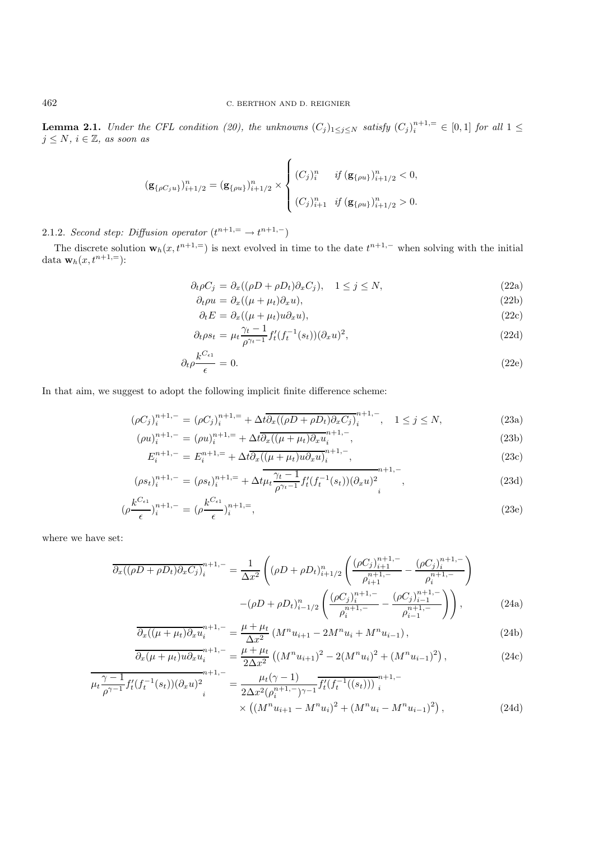**Lemma 2.1.** *Under the CFL condition (20), the unknowns*  $(C_j)_{1 \leq j \leq N}$  *satisfy*  $(C_j)_i^{n+1, =} \in [0,1]$  *for all*  $1 \leq$  $j \leq N, i \in \mathbb{Z}$ , as soon as

$$
\left(\mathbf{g}_{\{\rho C_j u\}}\right)_{i+1/2}^n = \left(\mathbf{g}_{\{\rho u\}}\right)_{i+1/2}^n \times \begin{cases} \left(C_j\right)_i^n & \text{if } \left(\mathbf{g}_{\{\rho u\}}\right)_{i+1/2}^n < 0, \\ \left(C_j\right)_{i+1}^n & \text{if } \left(\mathbf{g}_{\{\rho u\}}\right)_{i+1/2}^n > 0. \end{cases}
$$

# 2.1.2. *Second step: Diffusion operator*  $(t^{n+1}) = \rightarrow t^{n+1,-}$

The discrete solution  $\mathbf{w}_h(x, t^{n+1,-})$  is next evolved in time to the date  $t^{n+1,-}$  when solving with the initial data **w**<sub>h</sub> $(x, t^{n+1})$ :

$$
\partial_t \rho C_j = \partial_x ((\rho D + \rho D_t) \partial_x C_j), \quad 1 \le j \le N,
$$
\n(22a)

$$
\partial_t \rho u = \partial_x ((\mu + \mu_t) \partial_x u), \tag{22b}
$$

$$
\partial_t E = \partial_x ((\mu + \mu_t) u \partial_x u), \tag{22c}
$$

$$
\partial_t \rho s_t = \mu_t \frac{\gamma_t - 1}{\rho^{\gamma_t - 1}} f'_t(f_t^{-1}(s_t)) (\partial_x u)^2,
$$
\n(22d)

$$
\partial_t \rho \frac{k^{C_{\epsilon 1}}}{\epsilon} = 0. \tag{22e}
$$

In that aim, we suggest to adopt the following implicit finite difference scheme:

$$
(\rho C_j)_i^{n+1,-} = (\rho C_j)_i^{n+1,-} + \Delta t \overline{\partial_x ((\rho D + \rho D_t) \partial_x C_j)_i^{n+1,-}}, \quad 1 \le j \le N,
$$
\n
$$
(\rho C_j)^{n+1,-} = (\rho C_j)^{n+1,-} + \Delta t \overline{\partial_x ((\rho D + \rho D_t) \partial_x C_j)_i^{n+1,-}}, \quad 1 \le j \le N,
$$
\n
$$
(23a)
$$

$$
(\rho u)_i^{n+1,-} = (\rho u)_i^{n+1,-} + \Delta t \partial_x ((\mu + \mu_t) \partial_x u_i^{n+1},
$$
  
\n
$$
F^{n+1,-} = F^{n+1,-} + \Delta t \overline{A ((\mu + \mu_t) \partial_x u_i^{n+1}, - (\mu_t) \partial_x u_i^{n+1})})
$$
\n(23b)

$$
E_i^{n+1,-} = E_i^{n+1,\equiv} + \Delta t \overline{\partial_x ((\mu + \mu_t) u \partial_x u)_i^{n+1,-}},
$$
\n(23c)

$$
(\rho s_t)_i^{n+1,-} = (\rho s_t)_i^{n+1,-} + \Delta t \mu_t \frac{\gamma_t - 1}{\rho^{\gamma_t - 1}} f'_t(f_t^{-1}(s_t)) (\partial_x u)_i^{n+1,-},
$$
\n(23d)

$$
(\rho \frac{k^{C_{\epsilon 1}}}{\epsilon})_i^{n+1,-} = (\rho \frac{k^{C_{\epsilon 1}}}{\epsilon})_i^{n+1,-},\tag{23e}
$$

where we have set:

$$
\overline{\partial_x((\rho D + \rho D_t)\partial_x C_j)}_i^{n+1,-} = \frac{1}{\Delta x^2} \left( (\rho D + \rho D_t)_{i+1/2}^n \left( \frac{(\rho C_j)_{i+1}^{n+1,-}}{\rho_{i+1}^{n+1,-}} - \frac{(\rho C_j)_{i}^{n+1,-}}{\rho_i^{n+1,-}} \right) - (\rho D + \rho D_t)_{i-1/2}^n \left( \frac{(\rho C_j)_{i}^{n+1,-}}{\rho_i^{n+1,-}} - \frac{(\rho C_j)_{i-1}^{n+1,-}}{\rho_{i-1}^{n+1,-}} \right) \right),
$$
\n(24a)

$$
\frac{\partial_x((\mu + \mu_t)\partial_x u_i^{n+1})}{\partial x^2} = \frac{\mu + \mu_t}{\Delta x^2} \left( M^n u_{i+1} - 2M^n u_i + M^n u_{i-1} \right),\tag{24b}
$$

$$
\frac{\partial_x(\mu + \mu_t)u \partial_x u_i^{n+1,-}}{2\Delta x^2} = \frac{\mu + \mu_t}{2\Delta x^2} \left( (M^n u_{i+1})^2 - 2(M^n u_i)^2 + (M^n u_{i-1})^2 \right),\tag{24c}
$$

$$
\overline{\mu_t \frac{\gamma - 1}{\rho^{\gamma - 1}} f'_t(f_t^{-1}(s_t)) (\partial_x u)^2}^{n+1, -} = \frac{\mu_t(\gamma - 1)}{2\Delta x^2 (\rho_i^{n+1, -})^{\gamma - 1}} \overline{f'_t(f_t^{-1}((s_t)))}^{n+1, -} \times ((M^n u_{i+1} - M^n u_i)^2 + (M^n u_i - M^n u_{i-1})^2), \tag{24d}
$$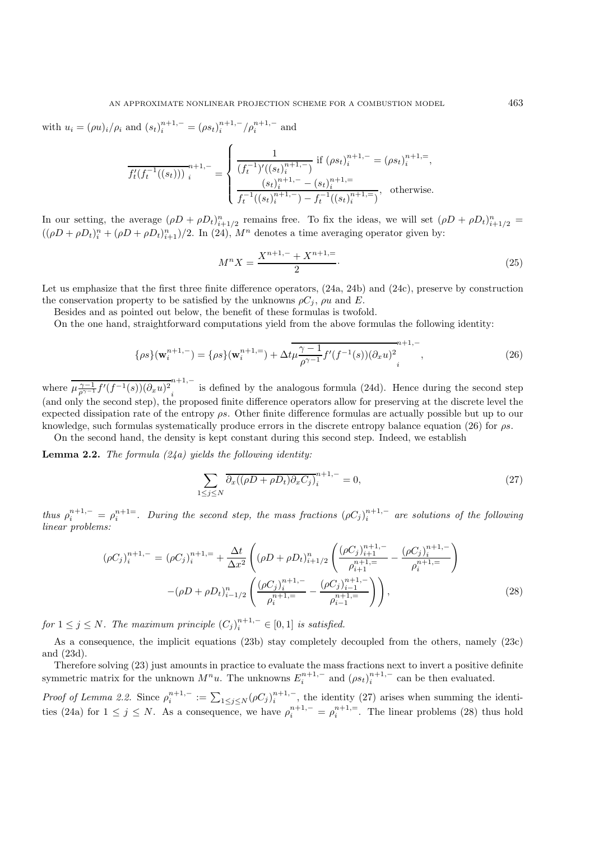with  $u_i = (\rho u)_i / \rho_i$  and  $(s_t)^{n+1,-}_i = (\rho s_t)^{n+1,-}_i / \rho_i^{n+1,-}$  and

$$
\overline{f_t^{\prime}(f_t^{-1}((s_t)))}^{n+1,-} = \begin{cases}\n\frac{1}{(f_t^{-1})^{\prime}((s_t)_{i}^{n+1,-})} & \text{if } (\rho s_t)_{i}^{n+1,-} = (\rho s_t)_{i}^{n+1,-}, \\
\frac{(s_t)_{i}^{n+1,-} - (s_t)_{i}^{n+1,-}}{f_t^{-1}((s_t)_{i}^{n+1,-}) - f_t^{-1}((s_t)_{i}^{n+1,-})}, & \text{otherwise.}\n\end{cases}
$$

In our setting, the average  $(\rho D + \rho D_t)_{i=1/2}^n$  remains free. To fix the ideas, we will set  $(\rho D + \rho D_t)_{i=1/2}^n$  =  $((\rho D + \rho D_t)_i^n + (\rho D + \rho D_t)_{i=1}^n)/2$ . In (24),  $M^n$  denotes a time averaging operator given by:

$$
M^{n}X = \frac{X^{n+1,-} + X^{n+1,-}}{2} \tag{25}
$$

Let us emphasize that the first three finite difference operators, (24a, 24b) and (24c), preserve by construction the conservation property to be satisfied by the unknowns  $\rho C_i$ ,  $\rho u$  and E.

Besides and as pointed out below, the benefit of these formulas is twofold.

On the one hand, straightforward computations yield from the above formulas the following identity:

$$
\{\rho s\}(\mathbf{w}_i^{n+1,-}) = \{\rho s\}(\mathbf{w}_i^{n+1,-}) + \Delta t \mu \frac{\gamma - 1}{\rho^{\gamma - 1}} f'(f^{-1}(s)) (\partial_x u)^2 \Big|_i^{n+1,-},
$$
\n(26)

where  $\frac{\mu_{\rho^{\gamma-1}}^{\gamma-1} f'(f^{-1}(s))(\partial_x u)^2}{\mu_{\rho^{\gamma-1}}}$  is defined by the analogous formula (24d). Hence during the second step (and only the second step), the proposed finite difference operators allow for preserving at the discrete level the expected dissipation rate of the entropy  $\rho s$ . Other finite difference formulas are actually possible but up to our knowledge, such formulas systematically produce errors in the discrete entropy balance equation (26) for ρs.

On the second hand, the density is kept constant during this second step. Indeed, we establish

**Lemma 2.2.** *The formula (24a) yields the following identity:*

$$
\sum_{1 \le j \le N} \overline{\partial_x ((\rho D + \rho D_t) \partial_x C_j)}_i^{n+1,-} = 0,
$$
\n(27)

*thus*  $\rho_i^{n+1,-} = \rho_i^{n+1=}$ . During the second step, the mass fractions  $({\rho C_j})_i^{n+1,-}$  are solutions of the following *linear problems:*

$$
(\rho C_j)_i^{n+1,-} = (\rho C_j)_i^{n+1,-} + \frac{\Delta t}{\Delta x^2} \left( (\rho D + \rho D_t)_{i+1/2}^n \left( \frac{(\rho C_j)_{i+1}^{n+1,-}}{\rho_{i+1}^{n+1,-}} - \frac{(\rho C_j)_i^{n+1,-}}{\rho_i^{n+1,-}} \right) - (\rho D + \rho D_t)_{i-1/2}^n \left( \frac{(\rho C_j)_i^{n+1,-}}{\rho_i^{n+1,-}} - \frac{(\rho C_j)_{i-1}^{n+1,-}}{\rho_{i-1}^{n+1,-}} \right) \right),
$$
\n(28)

*for*  $1 \leq j \leq N$ . The maximum principle  $(C_j)_{i}^{n+1,-} \in [0,1]$  *is satisfied.* 

As a consequence, the implicit equations (23b) stay completely decoupled from the others, namely (23c) and (23d).

Therefore solving (23) just amounts in practice to evaluate the mass fractions next to invert a positive definite symmetric matrix for the unknown  $M^n u$ . The unknowns  $E_i^{n+1,-}$  and  $(\rho s_t)_i^{n+1,-}$  can be then evaluated.

*Proof of Lemma 2.2.* Since  $\rho_i^{n+1,-} := \sum_{1 \leq j \leq N} (\rho C_j)_i^{n+1,-}$ , the identity (27) arises when summing the identities (24a) for  $1 \leq j \leq N$ . As a consequence, we have  $\rho_i^{n+1,-} = \rho_i^{n+1,-}$ . The linear problems (28) thus hold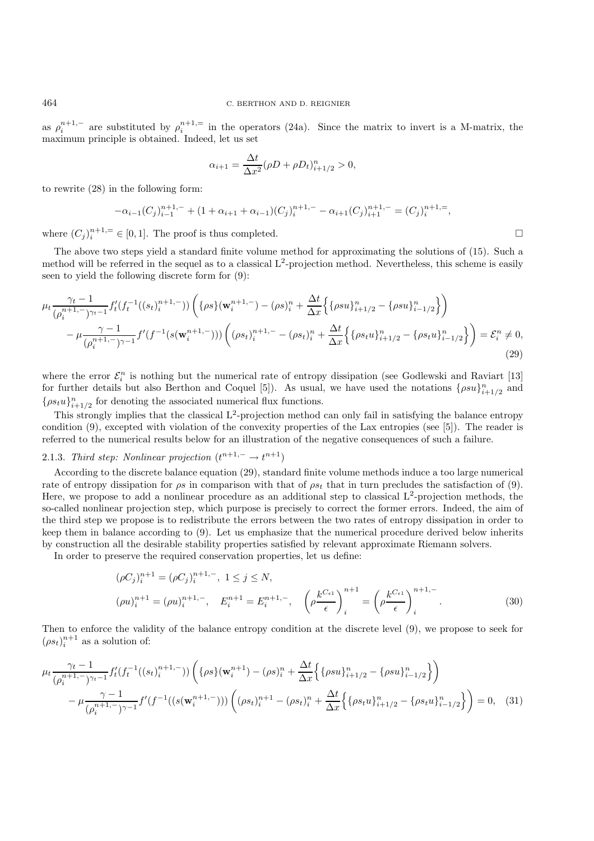as  $\rho_i^{n+1,-}$  are substituted by  $\rho_i^{n+1,-}$  in the operators (24a). Since the matrix to invert is a M-matrix, the maximum principle is obtained. Indeed, let us set

$$
\alpha_{i+1} = \frac{\Delta t}{\Delta x^2} (\rho D + \rho D_t)_{i+1/2}^n > 0,
$$

to rewrite (28) in the following form:

$$
-\alpha_{i-1}(C_j)_{i-1}^{n+1,-} + (1+\alpha_{i+1}+\alpha_{i-1})(C_j)_{i}^{n+1,-} - \alpha_{i+1}(C_j)_{i+1}^{n+1,-} = (C_j)_{i}^{n+1,-},
$$

where  $(C_j)_i^{n+1,=} \in [0,1]$ . The proof is thus completed.

The above two steps yield a standard finite volume method for approximating the solutions of (15). Such a method will be referred in the sequel as to a classical  $L^2$ -projection method. Nevertheless, this scheme is easily seen to yield the following discrete form for (9):

$$
\mu_{t} \frac{\gamma_{t} - 1}{(\rho_{i}^{n+1,-})^{\gamma_{t}-1}} f_{t}'(f_{t}^{-1}((s_{t})_{i}^{n+1,-})) \left( \{ \rho s \}(\mathbf{w}_{i}^{n+1,-}) - (\rho s)_{i}^{n} + \frac{\Delta t}{\Delta x} \Big\{ \{ \rho s u \}_{i+1/2}^{n} - \{ \rho s u \}_{i-1/2}^{n} \Big\} \right) - \mu \frac{\gamma - 1}{(\rho_{i}^{n+1,-})^{\gamma - 1}} f'(f^{-1}(s(\mathbf{w}_{i}^{n+1,-}))) \left( (\rho s_{t})_{i}^{n+1,-} - (\rho s_{t})_{i}^{n} + \frac{\Delta t}{\Delta x} \Big\{ \{ \rho s_{t} u \}_{i+1/2}^{n} - \{ \rho s_{t} u \}_{i-1/2}^{n} \Big\} \right) = \mathcal{E}_{i}^{n} \neq 0,
$$
\n(29)

where the error  $\mathcal{E}_i^n$  is nothing but the numerical rate of entropy dissipation (see Godlewski and Raviart [13] for further details but also Berthon and Coquel [5]). As usual, we have used the notations  $\{\rho s u\}_{i+1/2}^n$  and  $\{\rho s_t u\}_{i=1/2}^n$  for denoting the associated numerical flux functions.

This strongly implies that the classical  $L^2$ -projection method can only fail in satisfying the balance entropy condition (9), excepted with violation of the convexity properties of the Lax entropies (see [5]). The reader is referred to the numerical results below for an illustration of the negative consequences of such a failure.

# 2.1.3. *Third step: Nonlinear projection*  $(t^{n+1,-} \rightarrow t^{n+1})$

According to the discrete balance equation (29), standard finite volume methods induce a too large numerical rate of entropy dissipation for  $\rho s$  in comparison with that of  $\rho s_t$  that in turn precludes the satisfaction of (9). Here, we propose to add a nonlinear procedure as an additional step to classical  $L^2$ -projection methods, the so-called nonlinear projection step, which purpose is precisely to correct the former errors. Indeed, the aim of the third step we propose is to redistribute the errors between the two rates of entropy dissipation in order to keep them in balance according to (9). Let us emphasize that the numerical procedure derived below inherits by construction all the desirable stability properties satisfied by relevant approximate Riemann solvers.

In order to preserve the required conservation properties, let us define:

$$
(\rho C_j)_i^{n+1} = (\rho C_j)_i^{n+1,-}, \quad 1 \le j \le N,
$$
  
\n
$$
(\rho u)_i^{n+1} = (\rho u)_i^{n+1,-}, \quad E_i^{n+1} = E_i^{n+1,-}, \quad \left(\rho \frac{k^{C_{\epsilon 1}}}{\epsilon}\right)_i^{n+1} = \left(\rho \frac{k^{C_{\epsilon 1}}}{\epsilon}\right)_i^{n+1,-}.
$$
\n(30)

Then to enforce the validity of the balance entropy condition at the discrete level (9), we propose to seek for  $(\rho s_t)_i^{n+1}$  as a solution of:

$$
\mu_{t} \frac{\gamma_{t} - 1}{(\rho_{i}^{n+1,-})\gamma_{t} - 1} f_{t}'(f_{t}^{-1}((s_{t})_{i}^{n+1,-})) \left( \{ \rho s \}(\mathbf{w}_{i}^{n+1}) - (\rho s)_{i}^{n} + \frac{\Delta t}{\Delta x} \left\{ \{ \rho s u \}_{i+1/2}^{n} - \{ \rho s u \}_{i-1/2}^{n} \right\} \right) - \mu \frac{\gamma - 1}{(\rho_{i}^{n+1,-})\gamma - 1} f'(f^{-1}((s(\mathbf{w}_{i}^{n+1,-}))) \left( (\rho s_{t})_{i}^{n+1} - (\rho s_{t})_{i}^{n} + \frac{\Delta t}{\Delta x} \left\{ \{ \rho s_{t} u \}_{i+1/2}^{n} - \{ \rho s_{t} u \}_{i-1/2}^{n} \right\} \right) = 0, \quad (31)
$$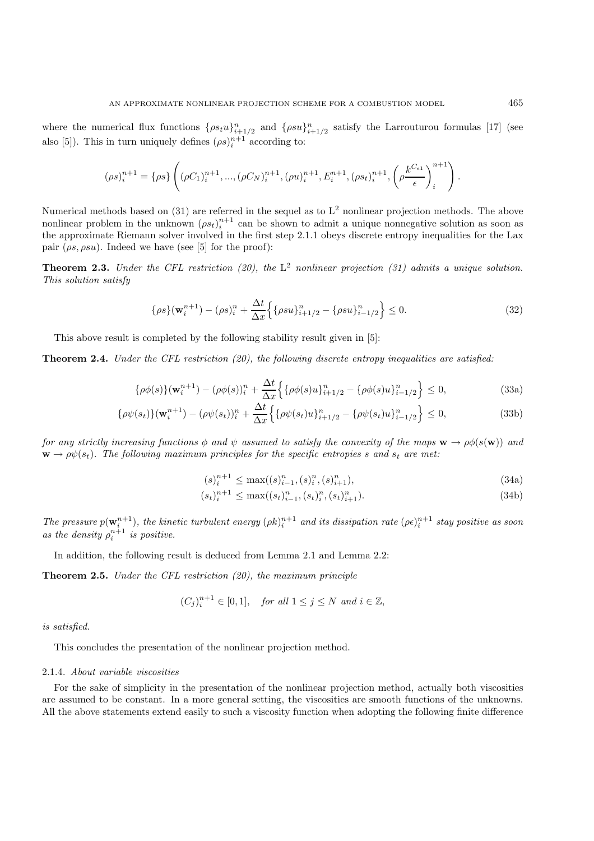where the numerical flux functions  $\{\rho s_t u\}_{i=1/2}^n$  and  $\{\rho s_u\}_{i=1/2}^n$  satisfy the Larrouturou formulas [17] (see also [5]). This in turn uniquely defines  $(\rho s)_i^{n+1}$  according to:

$$
(\rho s)_i^{n+1} = \{\rho s\} \left( (\rho C_1)_i^{n+1}, ..., (\rho C_N)_i^{n+1}, (\rho u)_i^{n+1}, E_i^{n+1}, (\rho s_t)_i^{n+1}, \left(\rho \frac{k^{C_{\epsilon 1}}}{\epsilon}\right)_i^{n+1} \right).
$$

Numerical methods based on (31) are referred in the sequel as to  $L^2$  nonlinear projection methods. The above nonlinear problem in the unknown  $(\rho s_t)_i^{n+1}$  can be shown to admit a unique nonnegative solution as soon as the approximate Riemann solver involved in the first step 2.1.1 obeys discrete entropy inequalities for the Lax pair  $(\rho s, \rho s u)$ . Indeed we have (see [5] for the proof):

**Theorem 2.3.** *Under the CFL restriction (20), the* L<sup>2</sup> *nonlinear projection (31) admits a unique solution. This solution satisfy*

$$
\{\rho s\}(\mathbf{w}_i^{n+1}) - (\rho s)_i^n + \frac{\Delta t}{\Delta x} \left\{ \{\rho s u\}_{i+1/2}^n - \{\rho s u\}_{i-1/2}^n \right\} \le 0. \tag{32}
$$

This above result is completed by the following stability result given in [5]:

**Theorem 2.4.** *Under the CFL restriction (20), the following discrete entropy inequalities are satisfied:*

$$
\{\rho\phi(s)\}(\mathbf{w}_i^{n+1}) - (\rho\phi(s))_i^n + \frac{\Delta t}{\Delta x} \Big\{ \{\rho\phi(s)u\}_{i+1/2}^n - \{\rho\phi(s)u\}_{i-1/2}^n \Big\} \le 0,
$$
\n(33a)

$$
\{\rho\psi(s_t)\}(\mathbf{w}_i^{n+1}) - (\rho\psi(s_t))_i^n + \frac{\Delta t}{\Delta x} \Big\{ \{\rho\psi(s_t)u\}_{i+1/2}^n - \{\rho\psi(s_t)u\}_{i-1/2}^n \Big\} \le 0,
$$
\n(33b)

*for any strictly increasing functions*  $\phi$  *and*  $\psi$  *assumed to satisfy the convexity of the maps*  $\mathbf{w} \to \rho \phi(s(\mathbf{w}))$  *and*  $\mathbf{w} \rightarrow \rho \psi(s_t)$ . The following maximum principles for the specific entropies s and  $s_t$  are met:

$$
(s)_i^{n+1} \le \max((s)_{i-1}^n, (s)_i^n, (s)_{i+1}^n), \tag{34a}
$$

$$
(s_t)_i^{n+1} \le \max((s_t)_{i-1}^n, (s_t)_i^n, (s_t)_{i+1}^n). \tag{34b}
$$

The pressure  $p(\mathbf{w}_i^{n+1})$ , the kinetic turbulent energy  $(\rho k)_i^{n+1}$  and its dissipation rate  $(\rho \epsilon)_i^{n+1}$  stay positive as soon as the density  $\rho_i^{n+1}$  is positive.

In addition, the following result is deduced from Lemma 2.1 and Lemma 2.2:

**Theorem 2.5.** *Under the CFL restriction (20), the maximum principle*

$$
(C_j)_i^{n+1} \in [0,1], \quad \text{for all } 1 \le j \le N \text{ and } i \in \mathbb{Z},
$$

*is satisfied.*

This concludes the presentation of the nonlinear projection method.

#### 2.1.4. *About variable viscosities*

For the sake of simplicity in the presentation of the nonlinear projection method, actually both viscosities are assumed to be constant. In a more general setting, the viscosities are smooth functions of the unknowns. All the above statements extend easily to such a viscosity function when adopting the following finite difference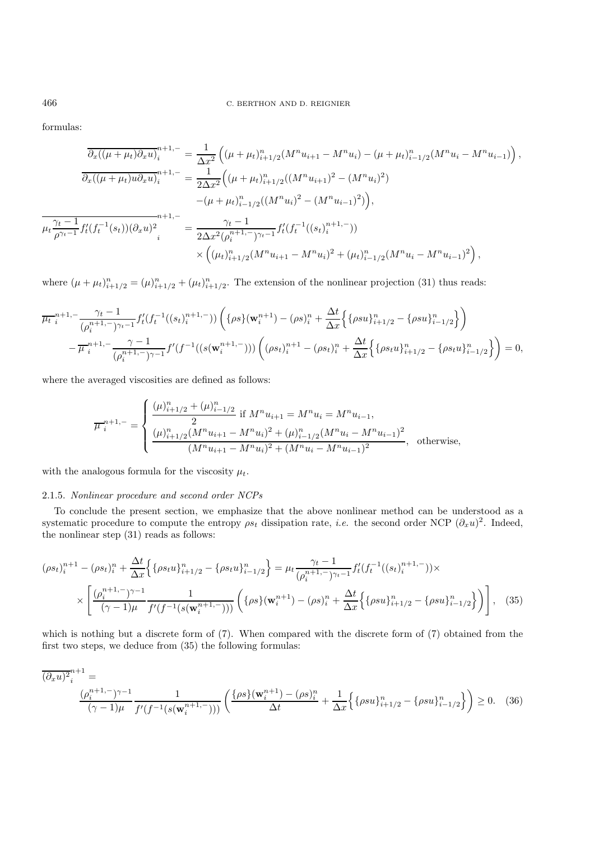formulas:

$$
\frac{\partial_x((\mu+\mu_t)\partial_x u)_i^{n+1,-}}{\partial_x((\mu+\mu_t)u\partial_x u)_i^{n+1,-}} = \frac{1}{\Delta x^2} \left( (\mu+\mu_t)_{i+1/2}^n (M^n u_{i+1} - M^n u_i) - (\mu+\mu_t)_{i-1/2}^n (M^n u_i - M^n u_{i-1}) \right),
$$
  

$$
\frac{\partial_x((\mu+\mu_t)u\partial_x u)_i^{n+1,-}}{\partial_x((\mu+\mu_t)u\partial_x u)_i^{n+1,-}} = \frac{1}{2\Delta x^2} \left( (\mu+\mu_t)_{i+1/2}^n ((M^n u_{i+1})^2 - (M^n u_i)^2) - (\mu+\mu_t)_{i-1/2}^n ((M^n u_i)^2 - (M^n u_{i-1})^2) \right),
$$
  

$$
\frac{\partial_x((\mu+\mu_t)u\partial_x u)_i^{n+1,-}}{\partial_x u^2} = \frac{\gamma_t - 1}{2\Delta x^2 (\rho_i^{n+1,-})\gamma_{t-1}} f_t'(f_t^{-1}((s_t)_{i}^{n+1,-}))
$$
  

$$
\times \left( (\mu_t)_{i+1/2}^n (M^n u_{i+1} - M^n u_i)^2 + (\mu_t)_{i-1/2}^n (M^n u_{i-1} - M^n u_{i-1})^2 \right),
$$

where  $(\mu + \mu_t)_{i=1/2}^n = (\mu)_{i=1/2}^n + (\mu_t)_{i=1/2}^n$ . The extension of the nonlinear projection (31) thus reads:

$$
\frac{\mu_t^{n+1,-} \frac{\gamma_t - 1}{(\rho_i^{n+1,-})^{\gamma_t - 1}} f'_t(f_t^{-1}((s_t)_i^{n+1,-})) \left( \{\rho s\} (\mathbf{w}_i^{n+1}) - (\rho s)_i^n + \frac{\Delta t}{\Delta x} \Big\{ \{\rho s u\}_{i+1/2}^n - \{\rho s u\}_{i-1/2}^n \Big\} \right)}{-\mu_t^{n+1,-} \frac{\gamma - 1}{(\rho_i^{n+1,-})^{\gamma - 1}} f'(f^{-1}((s(\mathbf{w}_i^{n+1,-}))) \left( (\rho s_t)_i^{n+1} - (\rho s_t)_i^n + \frac{\Delta t}{\Delta x} \Big\{ \{\rho s_t u\}_{i+1/2}^n - \{\rho s_t u\}_{i-1/2}^n \Big\} \right) = 0,
$$

where the averaged viscosities are defined as follows:

$$
\overline{\mu}_{i}^{n+1,-} = \begin{cases}\n\frac{(\mu)_{i+1/2}^{n} + (\mu)_{i-1/2}^{n}}{2} \text{ if } M^{n} u_{i+1} = M^{n} u_{i} = M^{n} u_{i-1},\\ \n\frac{(\mu)_{i+1/2}^{n} (M^{n} u_{i+1} - M^{n} u_{i})^{2} + (\mu)_{i-1/2}^{n} (M^{n} u_{i} - M^{n} u_{i-1})^{2}}{(M^{n} u_{i+1} - M^{n} u_{i})^{2} + (M^{n} u_{i} - M^{n} u_{i-1})^{2}}, \text{ otherwise,} \n\end{cases}
$$

with the analogous formula for the viscosity  $\mu_t$ .

### 2.1.5. *Nonlinear procedure and second order NCPs*

To conclude the present section, we emphasize that the above nonlinear method can be understood as a systematic procedure to compute the entropy  $\rho s_t$  dissipation rate, *i.e.* the second order NCP ( $\partial_x u$ )<sup>2</sup>. Indeed, the nonlinear step (31) reads as follows:

$$
(\rho s_t)_i^{n+1} - (\rho s_t)_i^n + \frac{\Delta t}{\Delta x} \Big\{ \{\rho s_t u\}_{i+1/2}^n - \{\rho s_t u\}_{i-1/2}^n \Big\} = \mu_t \frac{\gamma_t - 1}{(\rho_i^{n+1, -})^{\gamma_t - 1}} f_t'(f_t^{-1}((s_t)_i^{n+1, -})) \times \times \left[ \frac{(\rho_i^{n+1, -})^{\gamma - 1}}{(\gamma - 1)\mu} \frac{1}{f'(f^{-1}(s(\mathbf{w}_i^{n+1, -})))} \left( \{\rho s\} (\mathbf{w}_i^{n+1}) - (\rho s)_i^n + \frac{\Delta t}{\Delta x} \Big\{ \{\rho s u\}_{i+1/2}^n - \{\rho s u\}_{i-1/2}^n \Big\} \right) \Bigg], \quad (35)
$$

which is nothing but a discrete form of  $(7)$ . When compared with the discrete form of  $(7)$  obtained from the first two steps, we deduce from (35) the following formulas:

$$
\overline{(\partial_x u)^2}_i^{n+1} = \frac{(\rho_i^{n+1,-})^{\gamma-1}}{(\gamma-1)\mu} \frac{1}{f'(f^{-1}(s(\mathbf{w}_i^{n+1,-})))} \left( \frac{\{\rho s\}(\mathbf{w}_i^{n+1}) - (\rho s)_i^n}{\Delta t} + \frac{1}{\Delta x} \left\{ \{\rho s u\}_{i+1/2}^n - \{\rho s u\}_{i-1/2}^n \right\} \right) \ge 0. \quad (36)
$$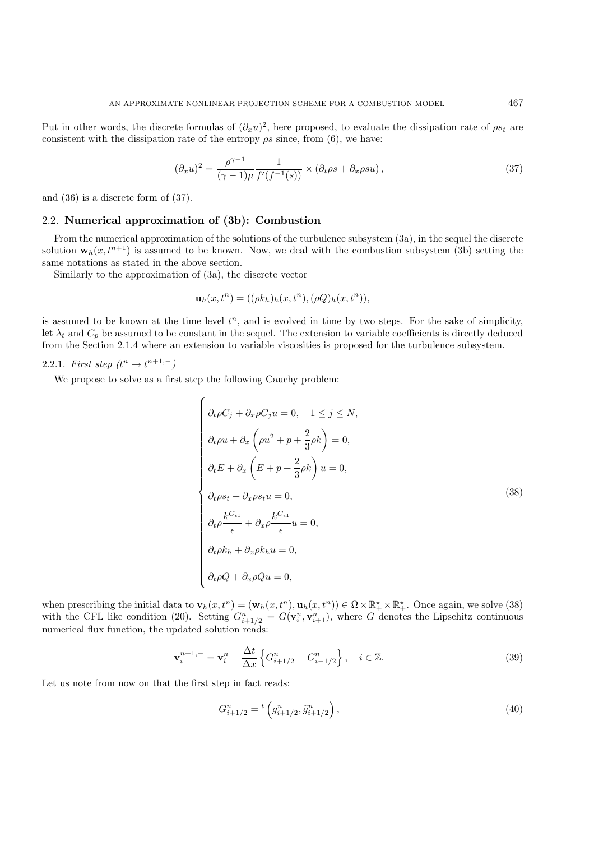Put in other words, the discrete formulas of  $(\partial_x u)^2$ , here proposed, to evaluate the dissipation rate of  $\rho s_t$  are consistent with the dissipation rate of the entropy  $\rho s$  since, from (6), we have:

$$
(\partial_x u)^2 = \frac{\rho^{\gamma - 1}}{(\gamma - 1)\mu} \frac{1}{f'(f^{-1}(s))} \times (\partial_t \rho s + \partial_x \rho s u), \qquad (37)
$$

and (36) is a discrete form of (37).

### 2.2. **Numerical approximation of (3b): Combustion**

From the numerical approximation of the solutions of the turbulence subsystem (3a), in the sequel the discrete solution  $\mathbf{w}_h(x, t^{n+1})$  is assumed to be known. Now, we deal with the combustion subsystem (3b) setting the same notations as stated in the above section.

Similarly to the approximation of (3a), the discrete vector

$$
\mathbf{u}_h(x,t^n) = ((\rho k_h)_h(x,t^n), (\rho Q)_h(x,t^n)),
$$

is assumed to be known at the time level  $t^n$ , and is evolved in time by two steps. For the sake of simplicity, let  $\lambda_t$  and  $C_p$  be assumed to be constant in the sequel. The extension to variable coefficients is directly deduced from the Section 2.1.4 where an extension to variable viscosities is proposed for the turbulence subsystem.

# 2.2.1. *First step*  $(t^n \to t^{n+1,-})$

We propose to solve as a first step the following Cauchy problem:

$$
\begin{cases}\n\partial_t \rho C_j + \partial_x \rho C_j u = 0, & 1 \le j \le N, \\
\partial_t \rho u + \partial_x \left(\rho u^2 + p + \frac{2}{3} \rho k\right) = 0, \\
\partial_t E + \partial_x \left(E + p + \frac{2}{3} \rho k\right) u = 0, \\
\partial_t \rho s_t + \partial_x \rho s_t u = 0, \\
\partial_t \rho \frac{k^{C_{\epsilon_1}}}{\epsilon} + \partial_x \rho \frac{k^{C_{\epsilon_1}}}{\epsilon} u = 0, \\
\partial_t \rho k_h + \partial_x \rho k_h u = 0, \\
\partial_t \rho Q + \partial_x \rho Qu = 0,\n\end{cases}
$$
\n(38)

when prescribing the initial data to  $\mathbf{v}_h(x, t^n) = (\mathbf{w}_h(x, t^n), \mathbf{u}_h(x, t^n)) \in \Omega \times \mathbb{R}_+^{\star} \times \mathbb{R}_+^{\star}$ . Once again, we solve (38) with the CFL like condition (20). Setting  $G_{i+1/2}^n = G(\mathbf{v}_i^n, \mathbf{v}_{i+1}^n)$ , where G denotes the Lipschitz continuous numerical flux function, the updated solution reads:

$$
\mathbf{v}_{i}^{n+1,-} = \mathbf{v}_{i}^{n} - \frac{\Delta t}{\Delta x} \left\{ G_{i+1/2}^{n} - G_{i-1/2}^{n} \right\}, \quad i \in \mathbb{Z}.
$$
 (39)

Let us note from now on that the first step in fact reads:

$$
G_{i+1/2}^n = {}^t \left( g_{i+1/2}^n, \tilde{g}_{i+1/2}^n \right), \tag{40}
$$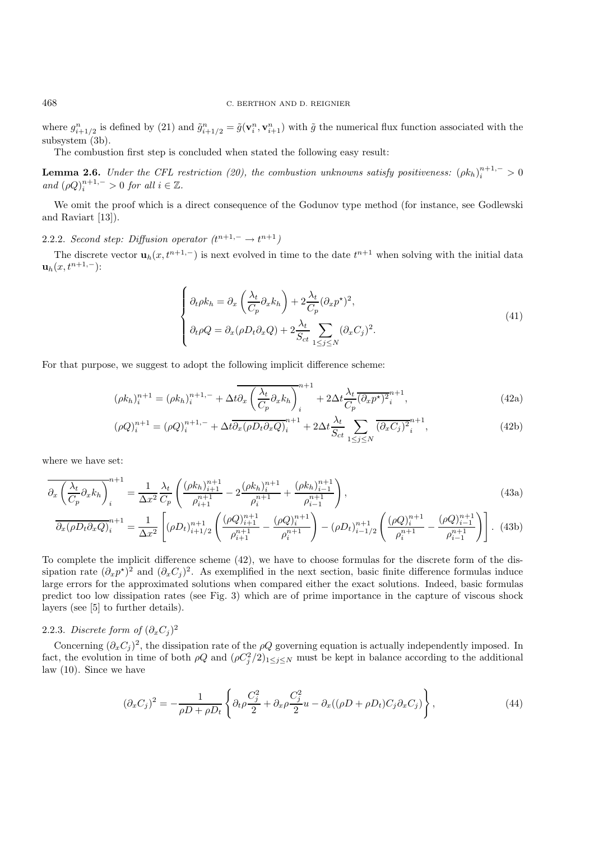where  $g_{i+1/2}^n$  is defined by (21) and  $\tilde{g}_{i+1/2}^n = \tilde{g}(\mathbf{v}_i^n, \mathbf{v}_{i+1}^n)$  with  $\tilde{g}$  the numerical flux function associated with the subsystem (3b).

The combustion first step is concluded when stated the following easy result:

**Lemma 2.6.** *Under the CFL restriction (20), the combustion unknowns satisfy positiveness:*  $(\rho k_h)_i^{n+1,-} > 0$ *and*  $(\rho Q)_i^{n+1,-} > 0$  *for all*  $i \in \mathbb{Z}$ *.* 

We omit the proof which is a direct consequence of the Godunov type method (for instance, see Godlewski and Raviart [13]).

2.2.2. *Second step: Diffusion operator*  $(t^{n+1,-} \rightarrow t^{n+1})$ 

The discrete vector  $\mathbf{u}_h(x, t^{n+1,-})$  is next evolved in time to the date  $t^{n+1}$  when solving with the initial data  ${\bf u}_h(x, t^{n+1,-})$ :

$$
\begin{cases}\n\partial_t \rho k_h = \partial_x \left(\frac{\lambda_t}{C_p} \partial_x k_h\right) + 2 \frac{\lambda_t}{C_p} (\partial_x p^\star)^2, \\
\partial_t \rho Q = \partial_x (\rho D_t \partial_x Q) + 2 \frac{\lambda_t}{S_{ct}} \sum_{1 \le j \le N} (\partial_x C_j)^2.\n\end{cases} \tag{41}
$$

For that purpose, we suggest to adopt the following implicit difference scheme:

$$
(\rho k_h)_i^{n+1} = (\rho k_h)_i^{n+1,-} + \Delta t \partial_x \left(\frac{\lambda_t}{C_p} \partial_x k_h\right)_i^{n+1} + 2\Delta t \frac{\lambda_t}{C_p} (\partial_x p^\star)_i^{n+1},\tag{42a}
$$

$$
(\rho Q)^{n+1}_i = (\rho Q)^{n+1,-}_i + \Delta t \overline{\partial_x (\rho D_t \partial_x Q)}^{n+1}_i + 2\Delta t \frac{\lambda_t}{S_{ct}} \sum_{1 \le j \le N} \overline{(\partial_x C_j)^2}^{n+1}_i,\tag{42b}
$$

where we have set:

$$
\overline{\partial_x \left( \frac{\lambda_t}{C_p} \partial_x k_h \right)_i}^{n+1} = \frac{1}{\Delta x^2} \frac{\lambda_t}{C_p} \left( \frac{(\rho k_h)_{i+1}^{n+1}}{\rho_{i+1}^{n+1}} - 2 \frac{(\rho k_h)_{i}^{n+1}}{\rho_i^{n+1}} + \frac{(\rho k_h)_{i-1}^{n+1}}{\rho_{i-1}^{n+1}} \right),\tag{43a}
$$

$$
\overline{\partial_x(\rho D_t \partial_x Q)}_i^{n+1} = \frac{1}{\Delta x^2} \left[ (\rho D_t)_{i+1/2}^{n+1} \left( \frac{(\rho Q)_{i+1}^{n+1}}{\rho_{i+1}^{n+1}} - \frac{(\rho Q)_i^{n+1}}{\rho_i^{n+1}} \right) - (\rho D_t)_{i-1/2}^{n+1} \left( \frac{(\rho Q)_i^{n+1}}{\rho_i^{n+1}} - \frac{(\rho Q)_{i-1}^{n+1}}{\rho_{i-1}^{n+1}} \right) \right].
$$
 (43b)

To complete the implicit difference scheme (42), we have to choose formulas for the discrete form of the dissipation rate  $(\partial_x p^*)^2$  and  $(\partial_x C_j)^2$ . As exemplified in the next section, basic finite difference formulas induce large errors for the approximated solutions when compared either the exact solutions. Indeed, basic formulas predict too low dissipation rates (see Fig. 3) which are of prime importance in the capture of viscous shock layers (see [5] to further details).

# 2.2.3. *Discrete form of*  $(\partial_x C_i)^2$

Concerning  $(\partial_x C_i)^2$ , the dissipation rate of the  $\rho Q$  governing equation is actually independently imposed. In fact, the evolution in time of both  $\rho Q$  and  $(\rho C_j^2/2)_{1 \le j \le N}$  must be kept in balance according to the additional law (10). Since we have

$$
(\partial_x C_j)^2 = -\frac{1}{\rho D + \rho D_t} \left\{ \partial_t \rho \frac{C_j^2}{2} + \partial_x \rho \frac{C_j^2}{2} u - \partial_x ((\rho D + \rho D_t) C_j \partial_x C_j) \right\},\tag{44}
$$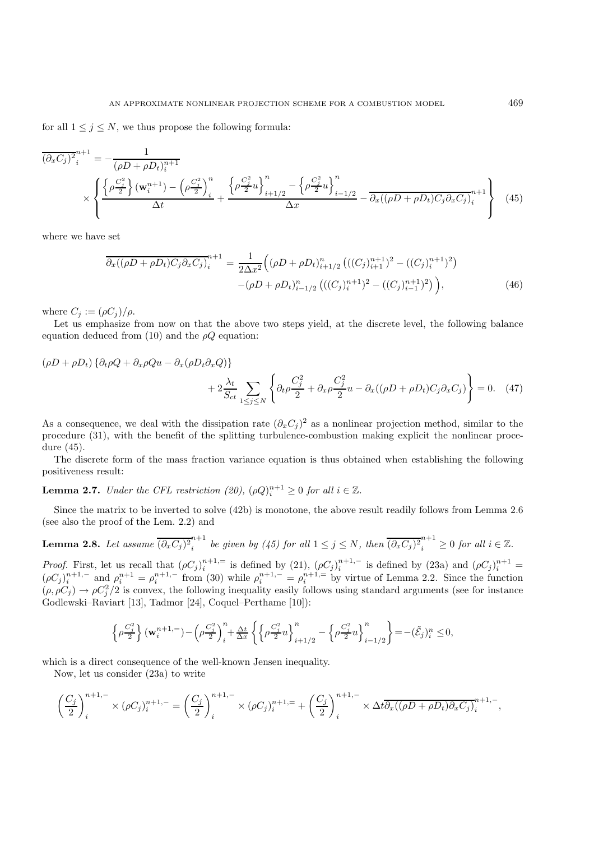for all  $1 \leq j \leq N$ , we thus propose the following formula:

$$
\overline{(\partial_x C_j)^2}_i^{n+1} = -\frac{1}{(\rho D + \rho D_t)_i^{n+1}} \times \left\{ \frac{\left\{\rho \frac{C_j^2}{2}\right\} (\mathbf{w}_i^{n+1}) - \left(\rho \frac{C_j^2}{2}\right)_i^n}{\Delta t} + \frac{\left\{\rho \frac{C_j^2}{2} u\right\}_{i+1/2}^n - \left\{\rho \frac{C_j^2}{2} u\right\}_{i-1/2}^n}{\Delta x} - \frac{\partial_x ((\rho D + \rho D_t) C_j \partial_x C_j)_i^{n+1}}{\Delta x} \right\} \tag{45}
$$

where we have set

$$
\overline{\partial_x((\rho D + \rho D_t)C_j \partial_x C_j)}_i^{n+1} = \frac{1}{2\Delta x^2} \Big( (\rho D + \rho D_t)_{i+1/2}^n \left( ((C_j)_{i+1}^{n+1})^2 - ((C_j)_{i}^{n+1})^2 \right) \n- (\rho D + \rho D_t)_{i-1/2}^n \left( ((C_j)_{i}^{n+1})^2 - ((C_j)_{i-1}^{n+1})^2 \right) \Big),
$$
\n(46)

where  $C_j := (\rho C_j)/\rho$ .

Let us emphasize from now on that the above two steps yield, at the discrete level, the following balance equation deduced from (10) and the  $\rho Q$  equation:

$$
(\rho D + \rho D_t) \left\{ \partial_t \rho Q + \partial_x \rho Q u - \partial_x (\rho D_t \partial_x Q) \right\}
$$
  
+ 
$$
2 \frac{\lambda_t}{S_{ct}} \sum_{1 \le j \le N} \left\{ \partial_t \rho \frac{C_j^2}{2} + \partial_x \rho \frac{C_j^2}{2} u - \partial_x ((\rho D + \rho D_t) C_j \partial_x C_j) \right\} = 0. \quad (47)
$$

As a consequence, we deal with the dissipation rate  $(\partial_x C_i)^2$  as a nonlinear projection method, similar to the procedure (31), with the benefit of the splitting turbulence-combustion making explicit the nonlinear procedure (45).

The discrete form of the mass fraction variance equation is thus obtained when establishing the following positiveness result:

**Lemma 2.7.** *Under the CFL restriction (20),*  $(\rho Q)_i^{n+1} \geq 0$  for all  $i \in \mathbb{Z}$ .

Since the matrix to be inverted to solve (42b) is monotone, the above result readily follows from Lemma 2.6 (see also the proof of the Lem. 2.2) and

**Lemma 2.8.** Let assume 
$$
\overline{(\partial_x C_j)^2_i}^{n+1}
$$
 be given by (45) for all  $1 \le j \le N$ , then  $\overline{(\partial_x C_j)^2_i}^{n+1} \ge 0$  for all  $i \in \mathbb{Z}$ .

*Proof.* First, let us recall that  $(\rho C_j)_i^{n+1}=$  is defined by  $(21)$ ,  $(\rho C_j)_i^{n+1}-$  is defined by  $(23a)$  and  $(\rho C_j)_i^{n+1}=$  $(\rho C_j)_i^{n+1,-}$  and  $\rho_i^{n+1} = \rho_i^{n+1,-}$  from (30) while  $\rho_i^{n+1,-} = \rho_i^{n+1,-}$  by virtue of Lemma 2.2. Since the function  $(\rho, \rho C_j) \to \rho C_j^2/2$  is convex, the following inequality easily follows using standard arguments (see for instance Godlewski–Raviart [13], Tadmor [24], Coquel–Perthame [10]):

$$
\left\{ \rho \frac{C_j^2}{2} \right\}(\mathbf{w}_i^{n+1, =}) - \left( \rho \frac{C_j^2}{2} \right)_i^n + \frac{\Delta t}{\Delta x} \left\{ \left\{ \rho \frac{C_j^2}{2}u \right\}_{i+1/2}^n - \left\{ \rho \frac{C_j^2}{2}u \right\}_{i-1/2}^n \right\} = -(\tilde{\mathcal{E}}_j)_i^n \leq 0,
$$

which is a direct consequence of the well-known Jensen inequality.

Now, let us consider (23a) to write

$$
\left(\frac{C_j}{2}\right)_i^{n+1,-} \times (\rho C_j)_i^{n+1,-} = \left(\frac{C_j}{2}\right)_i^{n+1,-} \times (\rho C_j)_i^{n+1,-} + \left(\frac{C_j}{2}\right)_i^{n+1,-} \times \Delta t \overline{\partial_x((\rho D + \rho D_t)\partial_x C_j)}_i^{n+1,-},
$$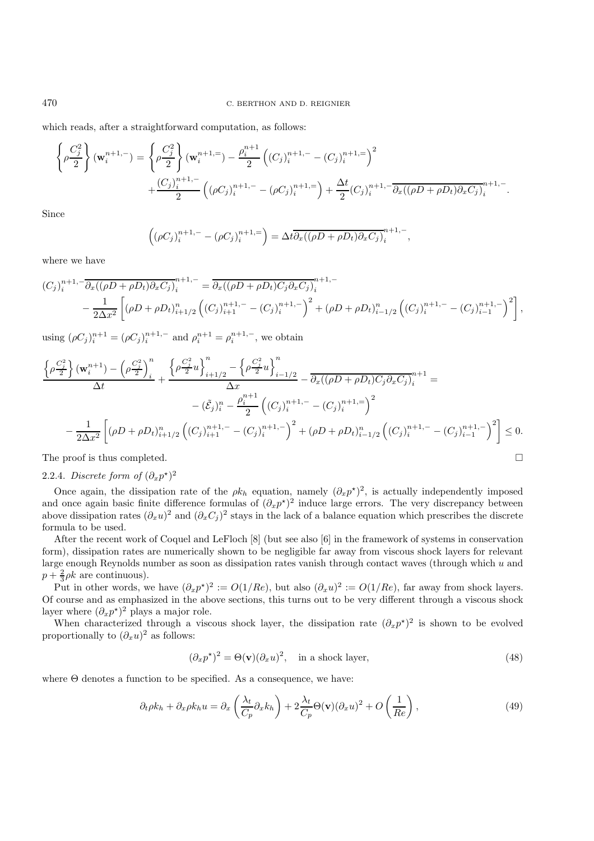which reads, after a straightforward computation, as follows:

$$
\left\{\rho \frac{C_j^2}{2}\right\}(\mathbf{w}_i^{n+1,-}) = \left\{\rho \frac{C_j^2}{2}\right\}(\mathbf{w}_i^{n+1,-}) - \frac{\rho_i^{n+1}}{2}\left((C_j)_i^{n+1,-} - (C_j)_i^{n+1,-}\right)^2
$$
  
 
$$
+ \frac{(C_j)_i^{n+1,-}}{2}\left((\rho C_j)_i^{n+1,-} - (\rho C_j)_i^{n+1,-}\right) + \frac{\Delta t}{2}(C_j)_i^{n+1,-} \overline{\partial_x((\rho D + \rho D_t)\partial_x C_j)}_i^{n+1,-}.
$$

Since

$$
((\rho C_j)_i^{n+1,-} - (\rho C_j)_i^{n+1,-}) = \Delta t \overline{\partial_x ((\rho D + \rho D_t) \partial_x C_j)_i^{n+1,-}},
$$

where we have

$$
(C_j)_i^{n+1,-} \overline{\partial_x((\rho D + \rho D_t)\partial_x C_j)}_i^{n+1,-} = \overline{\partial_x((\rho D + \rho D_t)C_j\partial_x C_j)}_i^{n+1,-}
$$
  

$$
- \frac{1}{2\Delta x^2} \left[ (\rho D + \rho D_t)_{i+1/2}^n \left( (C_j)_{i+1}^{n+1,-} - (C_j)_{i}^{n+1,-} \right)^2 + (\rho D + \rho D_t)_{i-1/2}^n \left( (C_j)_{i}^{n+1,-} - (C_j)_{i-1}^{n+1,-} \right)^2 \right],
$$

using  $(\rho C_j)_i^{n+1} = (\rho C_j)_i^{n+1,-}$  and  $\rho_i^{n+1} = \rho_i^{n+1,-}$ , we obtain

$$
\frac{\left\{\rho \frac{C_j^2}{2}\right\}(\mathbf{w}_i^{n+1}) - \left(\rho \frac{C_j^2}{2}\right)_i^n}{\Delta t} + \frac{\left\{\rho \frac{C_j^2}{2}u\right\}_{i+1/2}^n - \left\{\rho \frac{C_j^2}{2}u\right\}_{i-1/2}^n}{\Delta x} - \frac{\partial_x((\rho D + \rho D_t)C_j \partial_x C_j)_i^{n+1}}{\Delta x} =
$$
  
-  $(\tilde{\mathcal{E}}_j)_i^n - \frac{\rho_i^{n+1}}{2} \left((C_j)_i^{n+1,-} - (C_j)_i^{n+1,-}\right)^2$   
-  $\frac{1}{2\Delta x^2} \left[ (\rho D + \rho D_t)_{i+1/2}^n \left((C_j)_{i+1}^{n+1,-} - (C_j)_i^{n+1,-}\right)^2 + (\rho D + \rho D_t)_{i-1/2}^n \left((C_j)_{i+1}^{n+1,-} - (C_j)_{i-1}^{n+1,-}\right)^2 \right] \le 0.$ 

The proof is thus completed.  $\Box$ 

# 2.2.4. *Discrete form of*  $(\partial_x p^{\star})^2$

Once again, the dissipation rate of the  $\rho k_h$  equation, namely  $(\partial_x p^*)^2$ , is actually independently imposed and once again basic finite difference formulas of  $(\partial_x p^{\star})^2$  induce large errors. The very discrepancy between above dissipation rates  $(\partial_x u)^2$  and  $(\partial_x C_j)^2$  stays in the lack of a balance equation which prescribes the discrete formula to be used.

After the recent work of Coquel and LeFloch [8] (but see also [6] in the framework of systems in conservation form), dissipation rates are numerically shown to be negligible far away from viscous shock layers for relevant large enough Reynolds number as soon as dissipation rates vanish through contact waves (through which u and  $p + \frac{2}{3}\rho k$  are continuous).

Put in other words, we have  $(\partial_x p^*)^2 := O(1/Re)$ , but also  $(\partial_x u)^2 := O(1/Re)$ , far away from shock layers. Of course and as emphasized in the above sections, this turns out to be very different through a viscous shock layer where  $(\partial_x p^*)^2$  plays a major role.

When characterized through a viscous shock layer, the dissipation rate  $(\partial_x p^*)^2$  is shown to be evolved proportionally to  $(\partial_x u)^2$  as follows:

$$
(\partial_x p^*)^2 = \Theta(\mathbf{v})(\partial_x u)^2, \quad \text{in a shock layer}, \tag{48}
$$

where  $\Theta$  denotes a function to be specified. As a consequence, we have:

$$
\partial_t \rho k_h + \partial_x \rho k_h u = \partial_x \left( \frac{\lambda_t}{C_p} \partial_x k_h \right) + 2 \frac{\lambda_t}{C_p} \Theta(\mathbf{v}) (\partial_x u)^2 + O\left(\frac{1}{Re}\right), \tag{49}
$$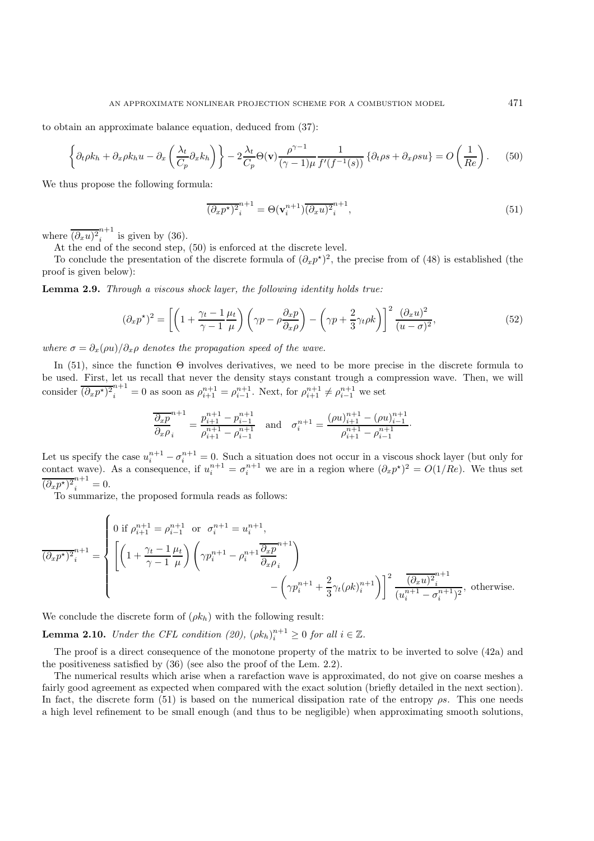to obtain an approximate balance equation, deduced from (37):

$$
\left\{\partial_t \rho k_h + \partial_x \rho k_h u - \partial_x \left(\frac{\lambda_t}{C_p} \partial_x k_h\right)\right\} - 2 \frac{\lambda_t}{C_p} \Theta(\mathbf{v}) \frac{\rho^{\gamma - 1}}{(\gamma - 1)\mu} \frac{1}{f'(f^{-1}(s))} \left\{\partial_t \rho s + \partial_x \rho s u\right\} = O\left(\frac{1}{Re}\right). \tag{50}
$$

We thus propose the following formula:

$$
\overline{(\partial_x p^*)^2}_i^{n+1} = \Theta(\mathbf{v}_i^{n+1}) \overline{(\partial_x u)^2}_i^{n+1},\tag{51}
$$

where  $\overline{(\partial_x u)^2}^{n+1}_i$  is given by (36).

At the end of the second step, (50) is enforced at the discrete level.

To conclude the presentation of the discrete formula of  $(\partial_x p^*)^2$ , the precise from of (48) is established (the proof is given below):

**Lemma 2.9.** *Through a viscous shock layer, the following identity holds true:*

$$
(\partial_x p^*)^2 = \left[ \left( 1 + \frac{\gamma_t - 1}{\gamma - 1} \frac{\mu_t}{\mu} \right) \left( \gamma p - \rho \frac{\partial_x p}{\partial_x \rho} \right) - \left( \gamma p + \frac{2}{3} \gamma_t \rho k \right) \right]^2 \frac{(\partial_x u)^2}{(u - \sigma)^2},\tag{52}
$$

*where*  $\sigma = \partial_x(\rho u)/\partial_x \rho$  *denotes the propagation speed of the wave.* 

In (51), since the function  $\Theta$  involves derivatives, we need to be more precise in the discrete formula to be used. First, let us recall that never the density stays constant trough a compression wave. Then, we will consider  $\overline{(\partial_x p^*)^2}_i^{n+1} = 0$  as soon as  $\rho_{i+1}^{n+1} = \rho_{i-1}^{n+1}$ . Next, for  $\rho_{i+1}^{n+1} \neq \rho_{i-1}^{n+1}$  we set

$$
\frac{\overline{\partial_x p}}{\partial_x \rho_i}^{n+1} = \frac{p_{i+1}^{n+1} - p_{i-1}^{n+1}}{\rho_{i+1}^{n+1} - \rho_{i-1}^{n+1}} \quad \text{and} \quad \sigma_i^{n+1} = \frac{(\rho u)_{i+1}^{n+1} - (\rho u)_{i-1}^{n+1}}{\rho_{i+1}^{n+1} - \rho_{i-1}^{n+1}}.
$$

Let us specify the case  $u_i^{n+1} - \sigma_i^{n+1} = 0$ . Such a situation does not occur in a viscous shock layer (but only for contact wave). As a consequence, if  $u_i^{n+1} = \sigma_i^{n+1}$  we are in a region where  $(\partial_x p^*)^2 = O(1/Re)$ . We thus set  $\overline{(\partial_x p^*)^2}_i^{n+1} = 0.$ 

To summarize, the proposed formula reads as follows:

$$
\overline{(\partial_x p^*)^2}_i^{n+1} = \begin{cases}\n0 \text{ if } \rho_{i+1}^{n+1} = \rho_{i-1}^{n+1} \text{ or } \sigma_i^{n+1} = u_i^{n+1}, \\
\left[\left(1 + \frac{\gamma_t - 1}{\gamma - 1} \frac{\mu_t}{\mu}\right) \left(\gamma p_i^{n+1} - \rho_i^{n+1} \frac{\partial_x p}{\partial_x \rho_i}^{n+1}\right) \right. \\
-\left(\gamma p_i^{n+1} + \frac{2}{3} \gamma_t (\rho k)_i^{n+1}\right)\right]^2 \frac{(\partial_x u)^2_i^{n+1}}{(u_i^{n+1} - \sigma_i^{n+1})^2}, \text{ otherwise.} \n\end{cases}
$$

We conclude the discrete form of  $(\rho k_h)$  with the following result:

**Lemma 2.10.** *Under the CFL condition (20),*  $(\rho k_h)_i^{n+1} \geq 0$  *for all*  $i \in \mathbb{Z}$ *.* 

The proof is a direct consequence of the monotone property of the matrix to be inverted to solve (42a) and the positiveness satisfied by (36) (see also the proof of the Lem. 2.2).

The numerical results which arise when a rarefaction wave is approximated, do not give on coarse meshes a fairly good agreement as expected when compared with the exact solution (briefly detailed in the next section). In fact, the discrete form (51) is based on the numerical dissipation rate of the entropy  $\rho s$ . This one needs a high level refinement to be small enough (and thus to be negligible) when approximating smooth solutions,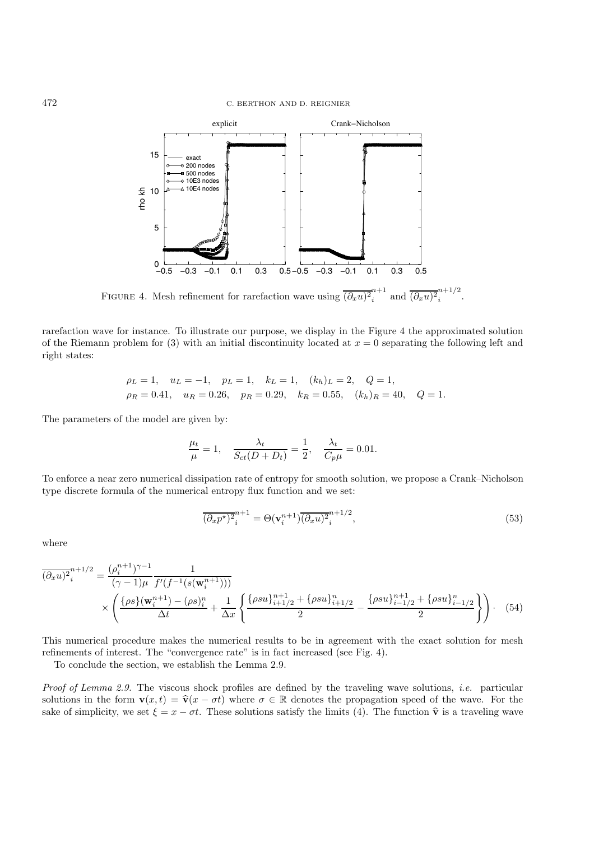

FIGURE 4. Mesh refinement for rarefaction wave using  $\overline{(\partial_x u)^2}^{n+1}_i$  $i^{n+1}$  and  $\overline{(\partial_x u)^2}_i^{n+1/2}$ .

rarefaction wave for instance. To illustrate our purpose, we display in the Figure 4 the approximated solution of the Riemann problem for (3) with an initial discontinuity located at  $x = 0$  separating the following left and right states:

$$
\rho_L = 1
$$
,  $u_L = -1$ ,  $p_L = 1$ ,  $k_L = 1$ ,  $(k_h)_L = 2$ ,  $Q = 1$ ,  
\n $\rho_R = 0.41$ ,  $u_R = 0.26$ ,  $p_R = 0.29$ ,  $k_R = 0.55$ ,  $(k_h)_R = 40$ ,  $Q = 1$ .

The parameters of the model are given by:

$$
\frac{\mu_t}{\mu} = 1, \quad \frac{\lambda_t}{S_{ct}(D+D_t)} = \frac{1}{2}, \quad \frac{\lambda_t}{C_p\mu} = 0.01.
$$

To enforce a near zero numerical dissipation rate of entropy for smooth solution, we propose a Crank–Nicholson type discrete formula of the numerical entropy flux function and we set:

$$
\overline{(\partial_x p^\star)^2}_i^{n+1} = \Theta(\mathbf{v}_i^{n+1}) \overline{(\partial_x u)^2}_i^{n+1/2},\tag{53}
$$

where

$$
\overline{(\partial_x u)^2}_i^{n+1/2} = \frac{(\rho_i^{n+1})^{\gamma-1}}{(\gamma-1)\mu} \frac{1}{f'(f^{-1}(s(\mathbf{w}_i^{n+1})))}
$$
\n
$$
\times \left( \frac{\{\rho s\}(\mathbf{w}_i^{n+1}) - (\rho s)_i^n}{\Delta t} + \frac{1}{\Delta x} \left\{ \frac{\{\rho s u\}_{i+1/2}^{n+1} + \{\rho s u\}_{i+1/2}^n}{2} - \frac{\{\rho s u\}_{i-1/2}^{n+1} + \{\rho s u\}_{i-1/2}^n}{2} \right\} \right). \tag{54}
$$

This numerical procedure makes the numerical results to be in agreement with the exact solution for mesh refinements of interest. The "convergence rate" is in fact increased (see Fig. 4).

To conclude the section, we establish the Lemma 2.9.

*Proof of Lemma 2.9.* The viscous shock profiles are defined by the traveling wave solutions, *i.e.* particular solutions in the form  $\mathbf{v}(x, t) = \hat{\mathbf{v}}(x - \sigma t)$  where  $\sigma \in \mathbb{R}$  denotes the propagation speed of the wave. For the sake of simplicity, we set  $\xi = x - \sigma t$ . These solutions satisfy the limits (4). The function  $\hat{\mathbf{v}}$  is a traveling wave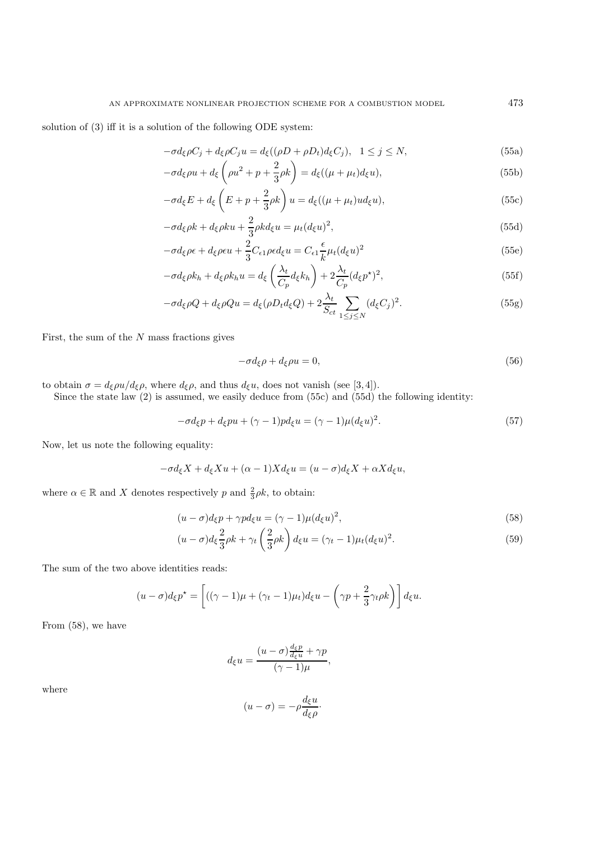solution of (3) iff it is a solution of the following ODE system:

$$
-\sigma d_{\xi}\rho C_j + d_{\xi}\rho C_j u = d_{\xi}((\rho D + \rho D_t)d_{\xi}C_j), \quad 1 \le j \le N,
$$
\n(55a)

$$
-\sigma d_{\xi}\rho u + d_{\xi}\left(\rho u^2 + p + \frac{2}{3}\rho k\right) = d_{\xi}\left((\mu + \mu_t)d_{\xi}u\right),\tag{55b}
$$

$$
-\sigma d_{\xi}E + d_{\xi}\left(E + p + \frac{2}{3}\rho k\right)u = d_{\xi}((\mu + \mu_t)ud_{\xi}u),\tag{55c}
$$

$$
-\sigma d_{\xi}\rho k + d_{\xi}\rho k u + \frac{2}{3}\rho k d_{\xi} u = \mu_t (d_{\xi} u)^2,
$$
\n(55d)

$$
-\sigma d_{\xi}\rho\epsilon + d_{\xi}\rho\epsilon u + \frac{2}{3}C_{\epsilon 1}\rho\epsilon d_{\xi}u = C_{\epsilon 1}\frac{\epsilon}{k}\mu_t(d_{\xi}u)^2
$$
\n(55e)

$$
-\sigma d_{\xi}\rho k_h + d_{\xi}\rho k_h u = d_{\xi}\left(\frac{\lambda_t}{C_p}d_{\xi}k_h\right) + 2\frac{\lambda_t}{C_p}(d_{\xi}p^{\star})^2,
$$
\n(55f)

$$
-\sigma d_{\xi}\rho Q + d_{\xi}\rho Qu = d_{\xi}(\rho D_t d_{\xi}Q) + 2\frac{\lambda_t}{S_{ct}} \sum_{1 \le j \le N} (d_{\xi}C_j)^2.
$$
\n(55g)

First, the sum of the  $N$  mass fractions gives

$$
-\sigma d_{\xi}\rho + d_{\xi}\rho u = 0, \tag{56}
$$

to obtain  $\sigma = d_{\xi} \rho u/d_{\xi} \rho$ , where  $d_{\xi} \rho$ , and thus  $d_{\xi} u$ , does not vanish (see [3,4]).

Since the state law (2) is assumed, we easily deduce from (55c) and (55d) the following identity:

$$
-\sigma d_{\xi}p + d_{\xi}pu + (\gamma - 1)p d_{\xi}u = (\gamma - 1)\mu(d_{\xi}u)^{2}.
$$
\n(57)

Now, let us note the following equality:

$$
-\sigma d_{\xi} X + d_{\xi} X u + (\alpha - 1) X d_{\xi} u = (u - \sigma) d_{\xi} X + \alpha X d_{\xi} u,
$$

where  $\alpha \in \mathbb{R}$  and X denotes respectively p and  $\frac{2}{3}\rho k$ , to obtain:

$$
(u - \sigma)d_{\xi}p + \gamma pd_{\xi}u = (\gamma - 1)\mu(d_{\xi}u)^{2},\tag{58}
$$

$$
(u - \sigma)d_{\xi} \frac{2}{3}\rho k + \gamma_t \left(\frac{2}{3}\rho k\right) d_{\xi} u = (\gamma_t - 1)\mu_t (d_{\xi} u)^2.
$$
\n(59)

The sum of the two above identities reads:

$$
(u-\sigma)d_{\xi}p^{\star} = \left[ ((\gamma - 1)\mu + (\gamma_t - 1)\mu_t)d_{\xi}u - \left(\gamma p + \frac{2}{3}\gamma_t\rho k\right)\right]d_{\xi}u.
$$

From (58), we have

$$
d_{\xi}u = \frac{(u-\sigma)\frac{d_{\xi}p}{d_{\xi}u} + \gamma p}{(\gamma - 1)\mu},
$$

where

$$
(u - \sigma) = -\rho \frac{d_{\xi} u}{d_{\xi} \rho}.
$$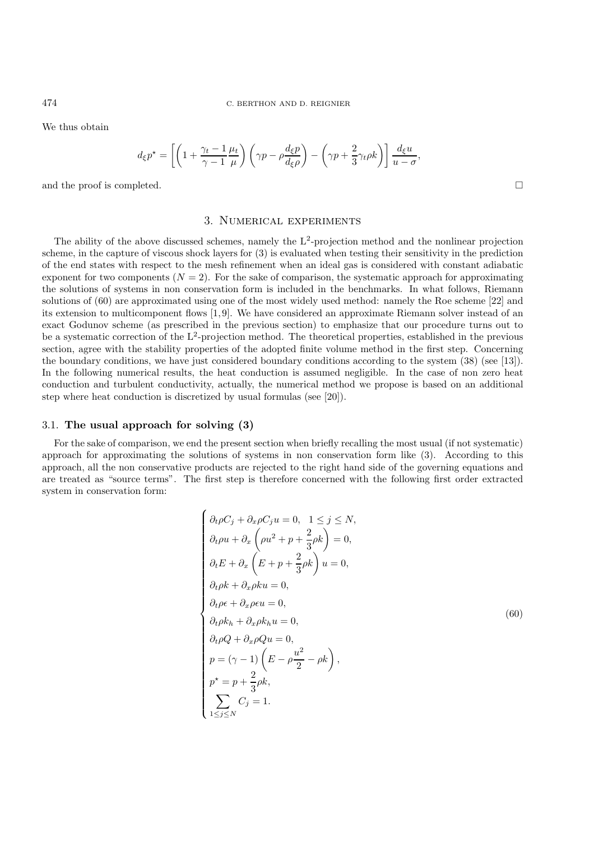We thus obtain

$$
d_{\xi}p^{\star} = \left[ \left( 1 + \frac{\gamma_t - 1}{\gamma - 1} \frac{\mu_t}{\mu} \right) \left( \gamma p - \rho \frac{d_{\xi}p}{d_{\xi}\rho} \right) - \left( \gamma p + \frac{2}{3} \gamma_t \rho k \right) \right] \frac{d_{\xi}u}{u - \sigma},
$$

and the proof is completed.  $\square$ 

#### 3. Numerical experiments

The ability of the above discussed schemes, namely the  $L^2$ -projection method and the nonlinear projection scheme, in the capture of viscous shock layers for (3) is evaluated when testing their sensitivity in the prediction of the end states with respect to the mesh refinement when an ideal gas is considered with constant adiabatic exponent for two components  $(N = 2)$ . For the sake of comparison, the systematic approach for approximating the solutions of systems in non conservation form is included in the benchmarks. In what follows, Riemann solutions of (60) are approximated using one of the most widely used method: namely the Roe scheme [22] and its extension to multicomponent flows [1, 9]. We have considered an approximate Riemann solver instead of an exact Godunov scheme (as prescribed in the previous section) to emphasize that our procedure turns out to be a systematic correction of the L<sup>2</sup>-projection method. The theoretical properties, established in the previous section, agree with the stability properties of the adopted finite volume method in the first step. Concerning the boundary conditions, we have just considered boundary conditions according to the system (38) (see [13]). In the following numerical results, the heat conduction is assumed negligible. In the case of non zero heat conduction and turbulent conductivity, actually, the numerical method we propose is based on an additional step where heat conduction is discretized by usual formulas (see [20]).

#### 3.1. **The usual approach for solving (3)**

For the sake of comparison, we end the present section when briefly recalling the most usual (if not systematic) approach for approximating the solutions of systems in non conservation form like (3). According to this approach, all the non conservative products are rejected to the right hand side of the governing equations and are treated as "source terms". The first step is therefore concerned with the following first order extracted system in conservation form:

$$
\begin{cases}\n\partial_t \rho C_j + \partial_x \rho C_j u = 0, & 1 \leq j \leq N, \\
\partial_t \rho u + \partial_x \left(\rho u^2 + p + \frac{2}{3} \rho k\right) = 0, \\
\partial_t E + \partial_x \left(E + p + \frac{2}{3} \rho k\right) u = 0, \\
\partial_t \rho k + \partial_x \rho k u = 0, \\
\partial_t \rho \epsilon + \partial_x \rho \epsilon u = 0, \\
\partial_t \rho k + \partial_x \rho k u = 0, \\
\partial_t \rho Q + \partial_x \rho Q u = 0, \\
p = (\gamma - 1) \left(E - \rho \frac{u^2}{2} - \rho k\right), \\
p^* = p + \frac{2}{3} \rho k, \\
\sum_{1 \leq j \leq N} C_j = 1.\n\end{cases} \tag{60}
$$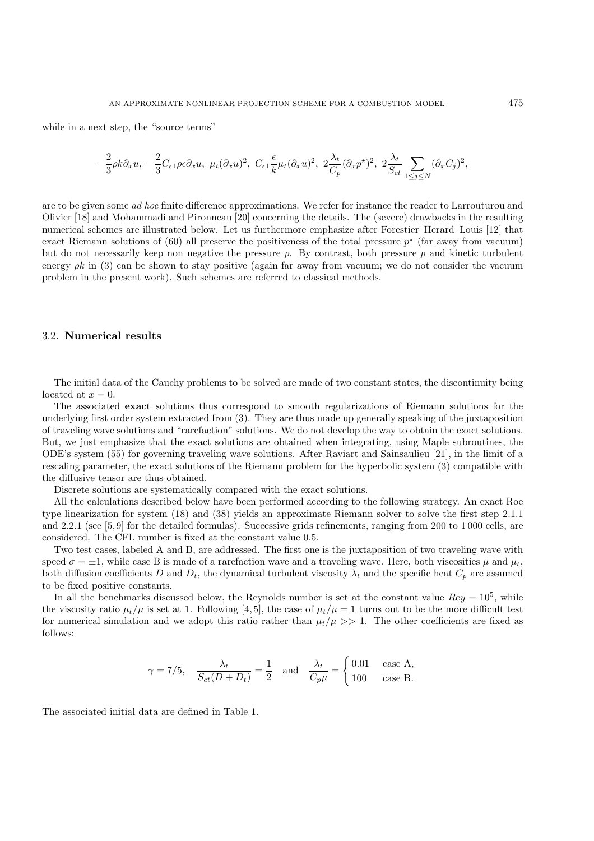while in a next step, the "source terms"

$$
-\frac{2}{3}\rho k\partial_x u,\,\, -\frac{2}{3}C_{\epsilon 1}\rho \epsilon \partial_x u,\,\, \mu_t(\partial_x u)^2,\,\, C_{\epsilon 1}\frac{\epsilon}{k}\mu_t(\partial_x u)^2,\,\, 2\frac{\lambda_t}{C_p}(\partial_x p^\star)^2,\,\, 2\frac{\lambda_t}{S_{ct}}\sum_{1\leq j\leq N}(\partial_x C_j)^2,
$$

are to be given some *ad hoc* finite difference approximations. We refer for instance the reader to Larrouturou and Olivier [18] and Mohammadi and Pironneau [20] concerning the details. The (severe) drawbacks in the resulting numerical schemes are illustrated below. Let us furthermore emphasize after Forestier–Herard–Louis [12] that exact Riemann solutions of (60) all preserve the positiveness of the total pressure  $p^*$  (far away from vacuum) but do not necessarily keep non negative the pressure  $p$ . By contrast, both pressure  $p$  and kinetic turbulent energy  $\rho k$  in (3) can be shown to stay positive (again far away from vacuum; we do not consider the vacuum problem in the present work). Such schemes are referred to classical methods.

### 3.2. **Numerical results**

The initial data of the Cauchy problems to be solved are made of two constant states, the discontinuity being located at  $x = 0$ .

The associated **exact** solutions thus correspond to smooth regularizations of Riemann solutions for the underlying first order system extracted from (3). They are thus made up generally speaking of the juxtaposition of traveling wave solutions and "rarefaction" solutions. We do not develop the way to obtain the exact solutions. But, we just emphasize that the exact solutions are obtained when integrating, using Maple subroutines, the ODE's system (55) for governing traveling wave solutions. After Raviart and Sainsaulieu [21], in the limit of a rescaling parameter, the exact solutions of the Riemann problem for the hyperbolic system (3) compatible with the diffusive tensor are thus obtained.

Discrete solutions are systematically compared with the exact solutions.

All the calculations described below have been performed according to the following strategy. An exact Roe type linearization for system (18) and (38) yields an approximate Riemann solver to solve the first step 2.1.1 and 2.2.1 (see [5, 9] for the detailed formulas). Successive grids refinements, ranging from 200 to 1 000 cells, are considered. The CFL number is fixed at the constant value 0.5.

Two test cases, labeled A and B, are addressed. The first one is the juxtaposition of two traveling wave with speed  $\sigma = \pm 1$ , while case B is made of a rarefaction wave and a traveling wave. Here, both viscosities  $\mu$  and  $\mu_t$ , both diffusion coefficients D and  $D_t$ , the dynamical turbulent viscosity  $\lambda_t$  and the specific heat  $C_p$  are assumed to be fixed positive constants.

In all the benchmarks discussed below, the Reynolds number is set at the constant value  $Rey = 10^5$ , while the viscosity ratio  $\mu_t/\mu$  is set at 1. Following [4,5], the case of  $\mu_t/\mu = 1$  turns out to be the more difficult test for numerical simulation and we adopt this ratio rather than  $\mu_t/\mu >> 1$ . The other coefficients are fixed as follows:

$$
\gamma = 7/5
$$
,  $\frac{\lambda_t}{S_{ct}(D+D_t)} = \frac{1}{2}$  and  $\frac{\lambda_t}{C_p\mu} = \begin{cases} 0.01 & \text{case A,} \\ 100 & \text{case B.} \end{cases}$ 

The associated initial data are defined in Table 1.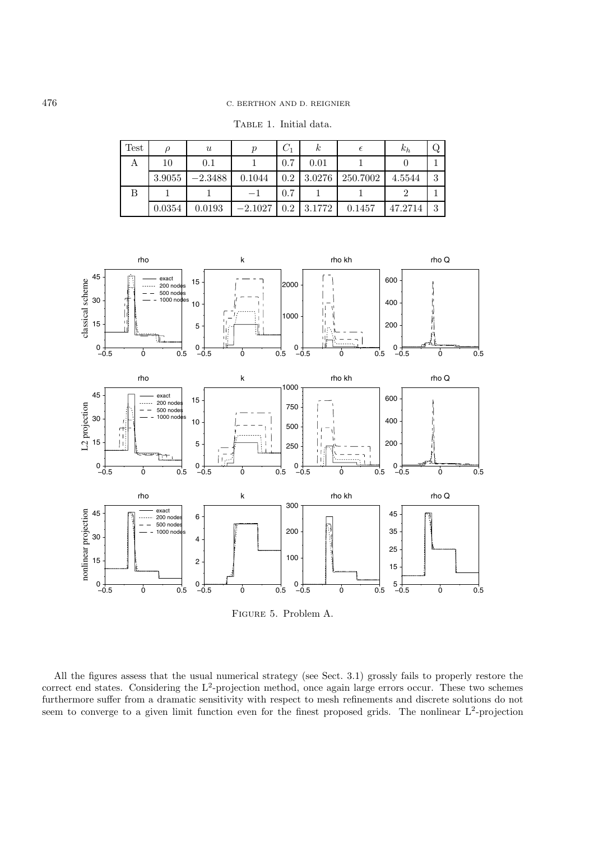TABLE 1. Initial data.

| <b>Test</b> |        | $\boldsymbol{u}$ |           | $C_{1}$ | $\kappa$ | €        | $\kappa_h$ | Q |
|-------------|--------|------------------|-----------|---------|----------|----------|------------|---|
| A           | 10     | 0.1              |           | 0.7     | 0.01     |          |            |   |
|             | 3.9055 | $-2.3488$        | 0.1044    | 0.2     | 3.0276   | 250.7002 | 4.5544     | 3 |
| В           |        |                  |           | 0.7     |          |          |            |   |
|             | 0.0354 | 0.0193           | $-2.1027$ | 0.2     | 3.1772   | 0.1457   | 47.2714    | 3 |



Figure 5. Problem A.

All the figures assess that the usual numerical strategy (see Sect. 3.1) grossly fails to properly restore the correct end states. Considering the  $L^2$ -projection method, once again large errors occur. These two schemes furthermore suffer from a dramatic sensitivity with respect to mesh refinements and discrete solutions do not seem to converge to a given limit function even for the finest proposed grids. The nonlinear  $L^2$ -projection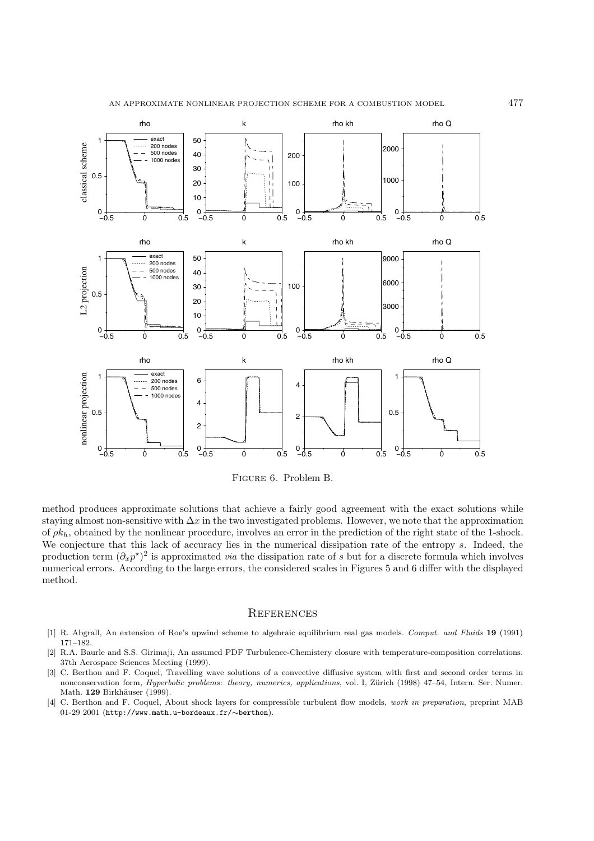

Figure 6. Problem B.

method produces approximate solutions that achieve a fairly good agreement with the exact solutions while staying almost non-sensitive with  $\Delta x$  in the two investigated problems. However, we note that the approximation of  $\rho k_h$ , obtained by the nonlinear procedure, involves an error in the prediction of the right state of the 1-shock. We conjecture that this lack of accuracy lies in the numerical dissipation rate of the entropy s. Indeed, the production term  $(\partial_x p^*)^2$  is approximated *via* the dissipation rate of s but for a discrete formula which involves numerical errors. According to the large errors, the considered scales in Figures 5 and 6 differ with the displayed method.

#### **REFERENCES**

- [1] R. Abgrall, An extension of Roe's upwind scheme to algebraic equilibrium real gas models. Comput. and Fluids **19** (1991) 171–182.
- [2] R.A. Baurle and S.S. Girimaji, An assumed PDF Turbulence-Chemistery closure with temperature-composition correlations. 37th Aerospace Sciences Meeting (1999).
- [3] C. Berthon and F. Coquel, Travelling wave solutions of a convective diffusive system with first and second order terms in nonconservation form, *Hyperbolic problems: theory, numerics, applications, vol.* I, Zürich (1998) 47–54, Intern. Ser. Numer. Math. **129** Birkhäuser (1999).
- [4] C. Berthon and F. Coquel, About shock layers for compressible turbulent flow models, work in preparation, preprint MAB 01-29 2001 (http://www.math.u-bordeaux.fr/∼berthon).